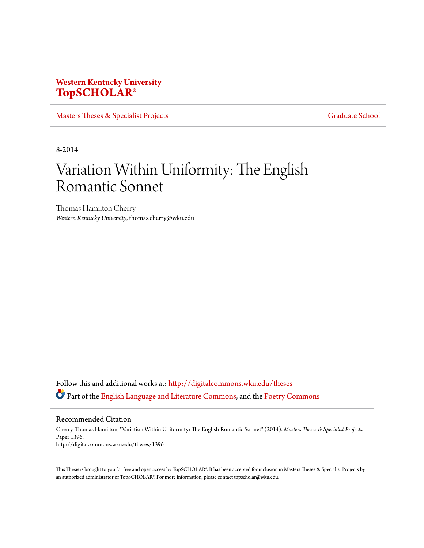# **Western Kentucky University [TopSCHOLAR®](http://digitalcommons.wku.edu?utm_source=digitalcommons.wku.edu%2Ftheses%2F1396&utm_medium=PDF&utm_campaign=PDFCoverPages)**

[Masters Theses & Specialist Projects](http://digitalcommons.wku.edu/theses?utm_source=digitalcommons.wku.edu%2Ftheses%2F1396&utm_medium=PDF&utm_campaign=PDFCoverPages) [Graduate School](http://digitalcommons.wku.edu/Graduate?utm_source=digitalcommons.wku.edu%2Ftheses%2F1396&utm_medium=PDF&utm_campaign=PDFCoverPages) Graduate School

8-2014

# Variation Within Uniformity: The English Romantic Sonnet

Thomas Hamilton Cherry *Western Kentucky University*, thomas.cherry@wku.edu

Follow this and additional works at: [http://digitalcommons.wku.edu/theses](http://digitalcommons.wku.edu/theses?utm_source=digitalcommons.wku.edu%2Ftheses%2F1396&utm_medium=PDF&utm_campaign=PDFCoverPages) Part of the **[English Language and Literature Commons](http://network.bepress.com/hgg/discipline/455?utm_source=digitalcommons.wku.edu%2Ftheses%2F1396&utm_medium=PDF&utm_campaign=PDFCoverPages)**, and the **[Poetry Commons](http://network.bepress.com/hgg/discipline/1153?utm_source=digitalcommons.wku.edu%2Ftheses%2F1396&utm_medium=PDF&utm_campaign=PDFCoverPages)** 

Recommended Citation

Cherry, Thomas Hamilton, "Variation Within Uniformity: The English Romantic Sonnet" (2014). *Masters Theses & Specialist Projects.* Paper 1396. http://digitalcommons.wku.edu/theses/1396

This Thesis is brought to you for free and open access by TopSCHOLAR®. It has been accepted for inclusion in Masters Theses & Specialist Projects by an authorized administrator of TopSCHOLAR®. For more information, please contact topscholar@wku.edu.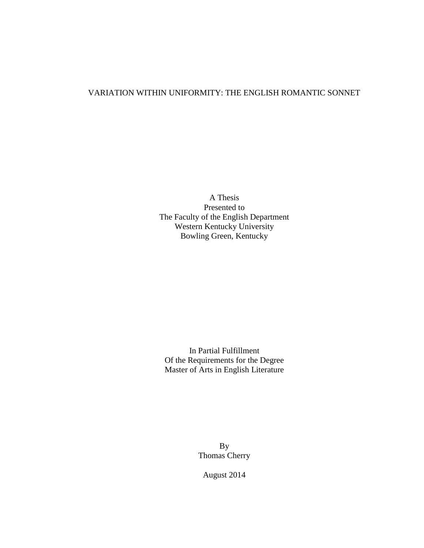## VARIATION WITHIN UNIFORMITY: THE ENGLISH ROMANTIC SONNET

A Thesis Presented to The Faculty of the English Department Western Kentucky University Bowling Green, Kentucky

In Partial Fulfillment Of the Requirements for the Degree Master of Arts in English Literature

> By Thomas Cherry

August 2014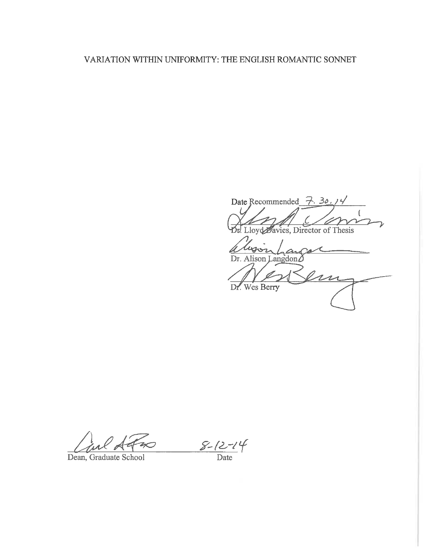## VARIATION WITHIN UNIFORMITY: THE ENGLISH ROMANTIC SONNET

Date Recommended  $\overline{7}$ . 30.14  $\mathscr{L}$ Lloyd Davies, Director of Thesis

 $\frac{1}{a}$ Dr. Alison Langdon $\Delta$  $\iota$ Dr. Wes Berry

Dean, Graduate School

 $\frac{8-12-14}{\text{Date}}$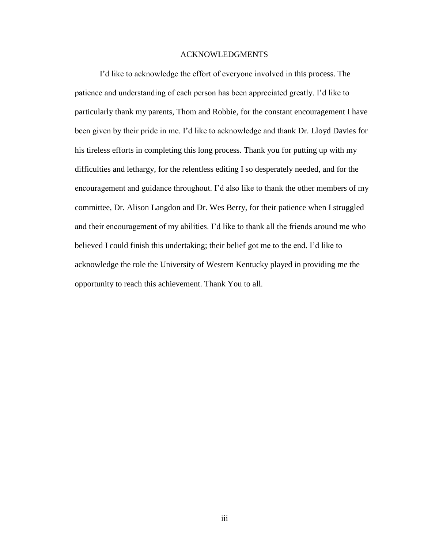## ACKNOWLEDGMENTS

I'd like to acknowledge the effort of everyone involved in this process. The patience and understanding of each person has been appreciated greatly. I'd like to particularly thank my parents, Thom and Robbie, for the constant encouragement I have been given by their pride in me. I'd like to acknowledge and thank Dr. Lloyd Davies for his tireless efforts in completing this long process. Thank you for putting up with my difficulties and lethargy, for the relentless editing I so desperately needed, and for the encouragement and guidance throughout. I'd also like to thank the other members of my committee, Dr. Alison Langdon and Dr. Wes Berry, for their patience when I struggled and their encouragement of my abilities. I'd like to thank all the friends around me who believed I could finish this undertaking; their belief got me to the end. I'd like to acknowledge the role the University of Western Kentucky played in providing me the opportunity to reach this achievement. Thank You to all.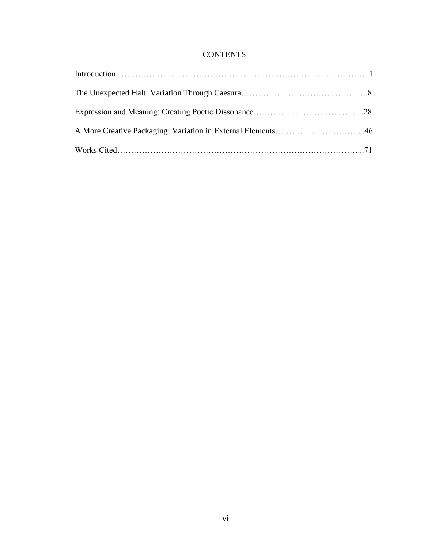## **CONTENTS**

| A More Creative Packaging: Variation in External Elements46 |  |
|-------------------------------------------------------------|--|
|                                                             |  |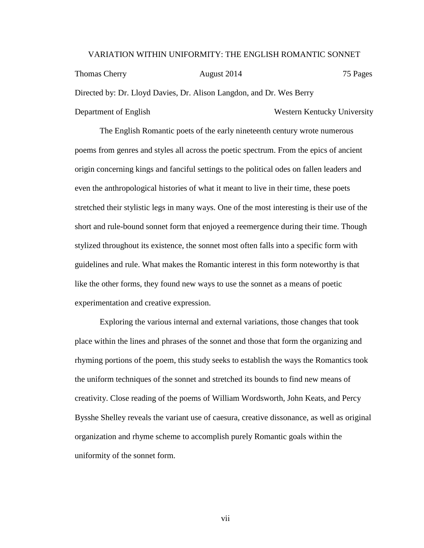### VARIATION WITHIN UNIFORMITY: THE ENGLISH ROMANTIC SONNET

Thomas Cherry **August 2014** 75 Pages Directed by: Dr. Lloyd Davies, Dr. Alison Langdon, and Dr. Wes Berry Department of English Western Kentucky University

The English Romantic poets of the early nineteenth century wrote numerous poems from genres and styles all across the poetic spectrum. From the epics of ancient origin concerning kings and fanciful settings to the political odes on fallen leaders and even the anthropological histories of what it meant to live in their time, these poets stretched their stylistic legs in many ways. One of the most interesting is their use of the short and rule-bound sonnet form that enjoyed a reemergence during their time. Though stylized throughout its existence, the sonnet most often falls into a specific form with guidelines and rule. What makes the Romantic interest in this form noteworthy is that like the other forms, they found new ways to use the sonnet as a means of poetic experimentation and creative expression.

Exploring the various internal and external variations, those changes that took place within the lines and phrases of the sonnet and those that form the organizing and rhyming portions of the poem, this study seeks to establish the ways the Romantics took the uniform techniques of the sonnet and stretched its bounds to find new means of creativity. Close reading of the poems of William Wordsworth, John Keats, and Percy Bysshe Shelley reveals the variant use of caesura, creative dissonance, as well as original organization and rhyme scheme to accomplish purely Romantic goals within the uniformity of the sonnet form.

vii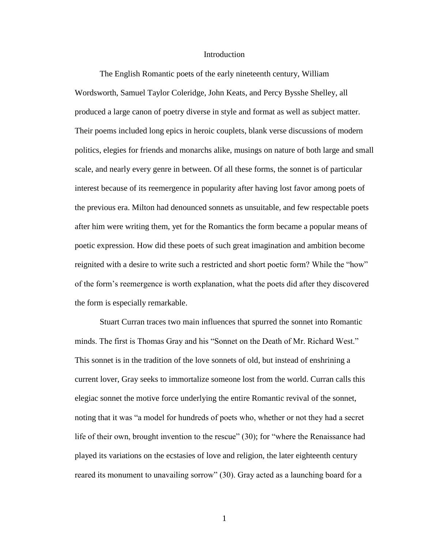#### Introduction

The English Romantic poets of the early nineteenth century, William Wordsworth, Samuel Taylor Coleridge, John Keats, and Percy Bysshe Shelley, all produced a large canon of poetry diverse in style and format as well as subject matter. Their poems included long epics in heroic couplets, blank verse discussions of modern politics, elegies for friends and monarchs alike, musings on nature of both large and small scale, and nearly every genre in between. Of all these forms, the sonnet is of particular interest because of its reemergence in popularity after having lost favor among poets of the previous era. Milton had denounced sonnets as unsuitable, and few respectable poets after him were writing them, yet for the Romantics the form became a popular means of poetic expression. How did these poets of such great imagination and ambition become reignited with a desire to write such a restricted and short poetic form? While the "how" of the form's reemergence is worth explanation, what the poets did after they discovered the form is especially remarkable.

Stuart Curran traces two main influences that spurred the sonnet into Romantic minds. The first is Thomas Gray and his "Sonnet on the Death of Mr. Richard West." This sonnet is in the tradition of the love sonnets of old, but instead of enshrining a current lover, Gray seeks to immortalize someone lost from the world. Curran calls this elegiac sonnet the motive force underlying the entire Romantic revival of the sonnet, noting that it was "a model for hundreds of poets who, whether or not they had a secret life of their own, brought invention to the rescue" (30); for "where the Renaissance had played its variations on the ecstasies of love and religion, the later eighteenth century reared its monument to unavailing sorrow" (30). Gray acted as a launching board for a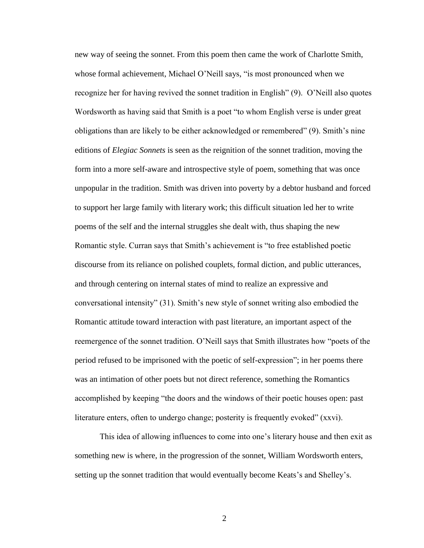new way of seeing the sonnet. From this poem then came the work of Charlotte Smith, whose formal achievement, Michael O'Neill says, "is most pronounced when we recognize her for having revived the sonnet tradition in English" (9). O'Neill also quotes Wordsworth as having said that Smith is a poet "to whom English verse is under great obligations than are likely to be either acknowledged or remembered" (9). Smith's nine editions of *Elegiac Sonnets* is seen as the reignition of the sonnet tradition, moving the form into a more self-aware and introspective style of poem, something that was once unpopular in the tradition. Smith was driven into poverty by a debtor husband and forced to support her large family with literary work; this difficult situation led her to write poems of the self and the internal struggles she dealt with, thus shaping the new Romantic style. Curran says that Smith's achievement is "to free established poetic discourse from its reliance on polished couplets, formal diction, and public utterances, and through centering on internal states of mind to realize an expressive and conversational intensity" (31). Smith's new style of sonnet writing also embodied the Romantic attitude toward interaction with past literature, an important aspect of the reemergence of the sonnet tradition. O'Neill says that Smith illustrates how "poets of the period refused to be imprisoned with the poetic of self-expression"; in her poems there was an intimation of other poets but not direct reference, something the Romantics accomplished by keeping "the doors and the windows of their poetic houses open: past literature enters, often to undergo change; posterity is frequently evoked" (xxvi).

This idea of allowing influences to come into one's literary house and then exit as something new is where, in the progression of the sonnet, William Wordsworth enters, setting up the sonnet tradition that would eventually become Keats's and Shelley's.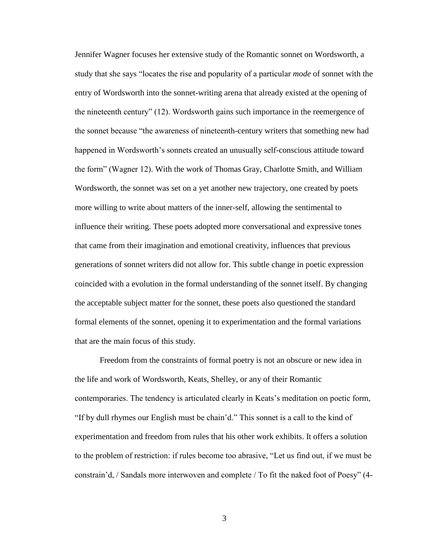Jennifer Wagner focuses her extensive study of the Romantic sonnet on Wordsworth, a study that she says "locates the rise and popularity of a particular *mode* of sonnet with the entry of Wordsworth into the sonnet-writing arena that already existed at the opening of the nineteenth century" (12). Wordsworth gains such importance in the reemergence of the sonnet because "the awareness of nineteenth-century writers that something new had happened in Wordsworth's sonnets created an unusually self-conscious attitude toward the form" (Wagner 12). With the work of Thomas Gray, Charlotte Smith, and William Wordsworth, the sonnet was set on a yet another new trajectory, one created by poets more willing to write about matters of the inner-self, allowing the sentimental to influence their writing. These poets adopted more conversational and expressive tones that came from their imagination and emotional creativity, influences that previous generations of sonnet writers did not allow for. This subtle change in poetic expression coincided with a evolution in the formal understanding of the sonnet itself. By changing the acceptable subject matter for the sonnet, these poets also questioned the standard formal elements of the sonnet, opening it to experimentation and the formal variations that are the main focus of this study.

Freedom from the constraints of formal poetry is not an obscure or new idea in the life and work of Wordsworth, Keats, Shelley, or any of their Romantic contemporaries. The tendency is articulated clearly in Keats's meditation on poetic form, "If by dull rhymes our English must be chain'd." This sonnet is a call to the kind of experimentation and freedom from rules that his other work exhibits. It offers a solution to the problem of restriction: if rules become too abrasive, "Let us find out, if we must be constrain'd, / Sandals more interwoven and complete / To fit the naked foot of Poesy" (4-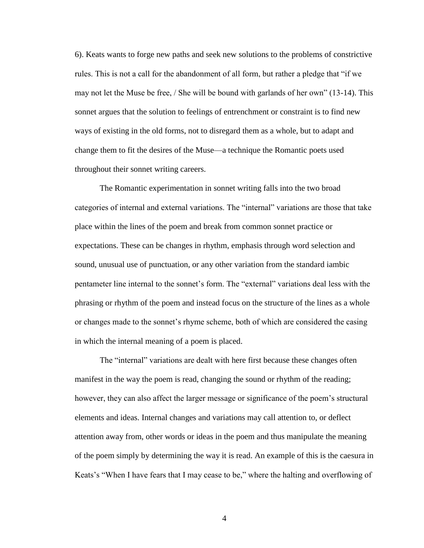6). Keats wants to forge new paths and seek new solutions to the problems of constrictive rules. This is not a call for the abandonment of all form, but rather a pledge that "if we may not let the Muse be free, / She will be bound with garlands of her own" (13-14). This sonnet argues that the solution to feelings of entrenchment or constraint is to find new ways of existing in the old forms, not to disregard them as a whole, but to adapt and change them to fit the desires of the Muse—a technique the Romantic poets used throughout their sonnet writing careers.

The Romantic experimentation in sonnet writing falls into the two broad categories of internal and external variations. The "internal" variations are those that take place within the lines of the poem and break from common sonnet practice or expectations. These can be changes in rhythm, emphasis through word selection and sound, unusual use of punctuation, or any other variation from the standard iambic pentameter line internal to the sonnet's form. The "external" variations deal less with the phrasing or rhythm of the poem and instead focus on the structure of the lines as a whole or changes made to the sonnet's rhyme scheme, both of which are considered the casing in which the internal meaning of a poem is placed.

The "internal" variations are dealt with here first because these changes often manifest in the way the poem is read, changing the sound or rhythm of the reading; however, they can also affect the larger message or significance of the poem's structural elements and ideas. Internal changes and variations may call attention to, or deflect attention away from, other words or ideas in the poem and thus manipulate the meaning of the poem simply by determining the way it is read. An example of this is the caesura in Keats's "When I have fears that I may cease to be," where the halting and overflowing of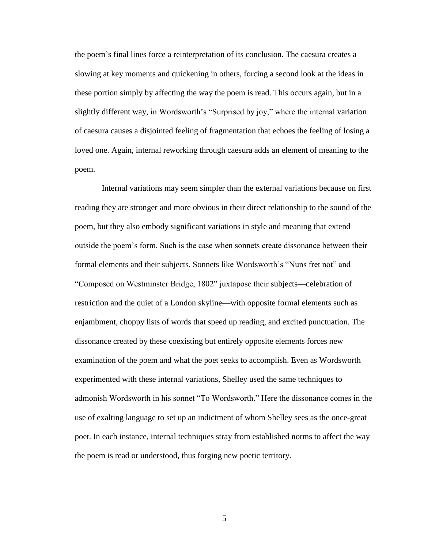the poem's final lines force a reinterpretation of its conclusion. The caesura creates a slowing at key moments and quickening in others, forcing a second look at the ideas in these portion simply by affecting the way the poem is read. This occurs again, but in a slightly different way, in Wordsworth's "Surprised by joy," where the internal variation of caesura causes a disjointed feeling of fragmentation that echoes the feeling of losing a loved one. Again, internal reworking through caesura adds an element of meaning to the poem.

Internal variations may seem simpler than the external variations because on first reading they are stronger and more obvious in their direct relationship to the sound of the poem, but they also embody significant variations in style and meaning that extend outside the poem's form. Such is the case when sonnets create dissonance between their formal elements and their subjects. Sonnets like Wordsworth's "Nuns fret not" and "Composed on Westminster Bridge, 1802" juxtapose their subjects—celebration of restriction and the quiet of a London skyline—with opposite formal elements such as enjambment, choppy lists of words that speed up reading, and excited punctuation. The dissonance created by these coexisting but entirely opposite elements forces new examination of the poem and what the poet seeks to accomplish. Even as Wordsworth experimented with these internal variations, Shelley used the same techniques to admonish Wordsworth in his sonnet "To Wordsworth." Here the dissonance comes in the use of exalting language to set up an indictment of whom Shelley sees as the once-great poet. In each instance, internal techniques stray from established norms to affect the way the poem is read or understood, thus forging new poetic territory.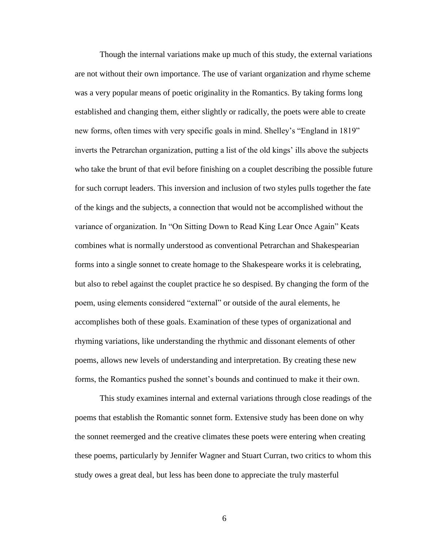Though the internal variations make up much of this study, the external variations are not without their own importance. The use of variant organization and rhyme scheme was a very popular means of poetic originality in the Romantics. By taking forms long established and changing them, either slightly or radically, the poets were able to create new forms, often times with very specific goals in mind. Shelley's "England in 1819" inverts the Petrarchan organization, putting a list of the old kings' ills above the subjects who take the brunt of that evil before finishing on a couplet describing the possible future for such corrupt leaders. This inversion and inclusion of two styles pulls together the fate of the kings and the subjects, a connection that would not be accomplished without the variance of organization. In "On Sitting Down to Read King Lear Once Again" Keats combines what is normally understood as conventional Petrarchan and Shakespearian forms into a single sonnet to create homage to the Shakespeare works it is celebrating, but also to rebel against the couplet practice he so despised. By changing the form of the poem, using elements considered "external" or outside of the aural elements, he accomplishes both of these goals. Examination of these types of organizational and rhyming variations, like understanding the rhythmic and dissonant elements of other poems, allows new levels of understanding and interpretation. By creating these new forms, the Romantics pushed the sonnet's bounds and continued to make it their own.

This study examines internal and external variations through close readings of the poems that establish the Romantic sonnet form. Extensive study has been done on why the sonnet reemerged and the creative climates these poets were entering when creating these poems, particularly by Jennifer Wagner and Stuart Curran, two critics to whom this study owes a great deal, but less has been done to appreciate the truly masterful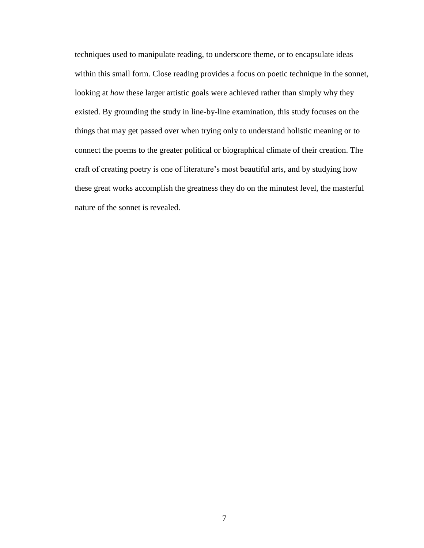techniques used to manipulate reading, to underscore theme, or to encapsulate ideas within this small form. Close reading provides a focus on poetic technique in the sonnet, looking at *how* these larger artistic goals were achieved rather than simply why they existed. By grounding the study in line-by-line examination, this study focuses on the things that may get passed over when trying only to understand holistic meaning or to connect the poems to the greater political or biographical climate of their creation. The craft of creating poetry is one of literature's most beautiful arts, and by studying how these great works accomplish the greatness they do on the minutest level, the masterful nature of the sonnet is revealed.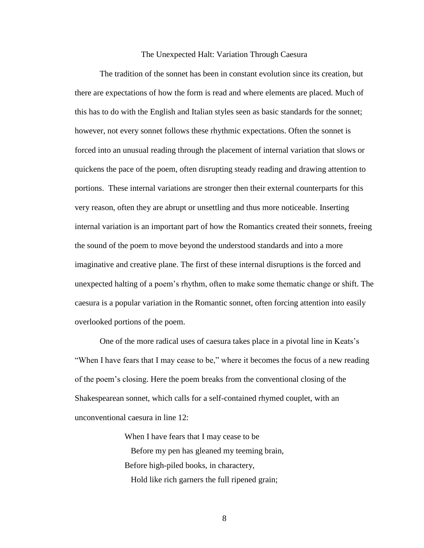#### The Unexpected Halt: Variation Through Caesura

The tradition of the sonnet has been in constant evolution since its creation, but there are expectations of how the form is read and where elements are placed. Much of this has to do with the English and Italian styles seen as basic standards for the sonnet; however, not every sonnet follows these rhythmic expectations. Often the sonnet is forced into an unusual reading through the placement of internal variation that slows or quickens the pace of the poem, often disrupting steady reading and drawing attention to portions. These internal variations are stronger then their external counterparts for this very reason, often they are abrupt or unsettling and thus more noticeable. Inserting internal variation is an important part of how the Romantics created their sonnets, freeing the sound of the poem to move beyond the understood standards and into a more imaginative and creative plane. The first of these internal disruptions is the forced and unexpected halting of a poem's rhythm, often to make some thematic change or shift. The caesura is a popular variation in the Romantic sonnet, often forcing attention into easily overlooked portions of the poem.

One of the more radical uses of caesura takes place in a pivotal line in Keats's "When I have fears that I may cease to be," where it becomes the focus of a new reading of the poem's closing. Here the poem breaks from the conventional closing of the Shakespearean sonnet, which calls for a self-contained rhymed couplet, with an unconventional caesura in line 12:

> When I have fears that I may cease to be Before my pen has gleaned my teeming brain, Before high-piled books, in charactery, Hold like rich garners the full ripened grain;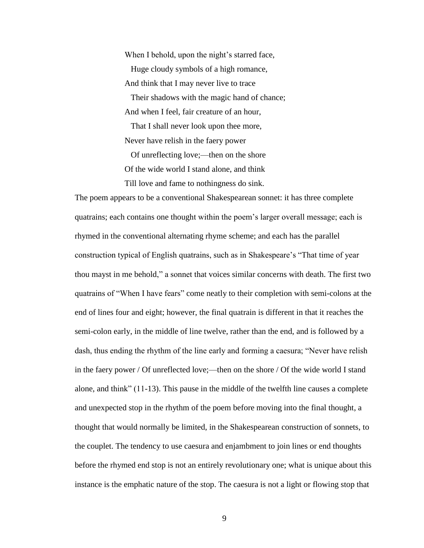When I behold, upon the night's starred face, Huge cloudy symbols of a high romance, And think that I may never live to trace Their shadows with the magic hand of chance; And when I feel, fair creature of an hour, That I shall never look upon thee more, Never have relish in the faery power Of unreflecting love;—then on the shore Of the wide world I stand alone, and think

Till love and fame to nothingness do sink.

The poem appears to be a conventional Shakespearean sonnet: it has three complete quatrains; each contains one thought within the poem's larger overall message; each is rhymed in the conventional alternating rhyme scheme; and each has the parallel construction typical of English quatrains, such as in Shakespeare's "That time of year thou mayst in me behold," a sonnet that voices similar concerns with death. The first two quatrains of "When I have fears" come neatly to their completion with semi-colons at the end of lines four and eight; however, the final quatrain is different in that it reaches the semi-colon early, in the middle of line twelve, rather than the end, and is followed by a dash, thus ending the rhythm of the line early and forming a caesura; "Never have relish in the faery power / Of unreflected love;—then on the shore / Of the wide world I stand alone, and think" (11-13). This pause in the middle of the twelfth line causes a complete and unexpected stop in the rhythm of the poem before moving into the final thought, a thought that would normally be limited, in the Shakespearean construction of sonnets, to the couplet. The tendency to use caesura and enjambment to join lines or end thoughts before the rhymed end stop is not an entirely revolutionary one; what is unique about this instance is the emphatic nature of the stop. The caesura is not a light or flowing stop that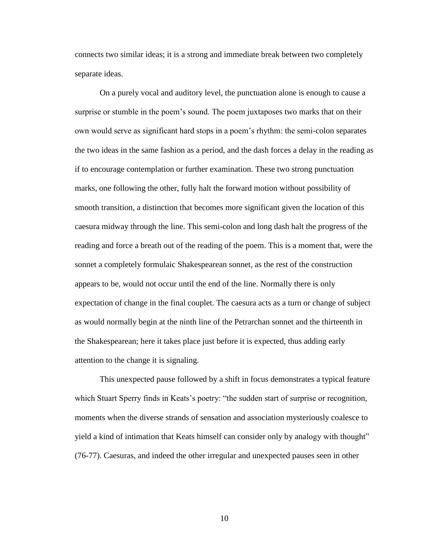connects two similar ideas; it is a strong and immediate break between two completely separate ideas.

On a purely vocal and auditory level, the punctuation alone is enough to cause a surprise or stumble in the poem's sound. The poem juxtaposes two marks that on their own would serve as significant hard stops in a poem's rhythm: the semi-colon separates the two ideas in the same fashion as a period, and the dash forces a delay in the reading as if to encourage contemplation or further examination. These two strong punctuation marks, one following the other, fully halt the forward motion without possibility of smooth transition, a distinction that becomes more significant given the location of this caesura midway through the line. This semi-colon and long dash halt the progress of the reading and force a breath out of the reading of the poem. This is a moment that, were the sonnet a completely formulaic Shakespearean sonnet, as the rest of the construction appears to be, would not occur until the end of the line. Normally there is only expectation of change in the final couplet. The caesura acts as a turn or change of subject as would normally begin at the ninth line of the Petrarchan sonnet and the thirteenth in the Shakespearean; here it takes place just before it is expected, thus adding early attention to the change it is signaling.

This unexpected pause followed by a shift in focus demonstrates a typical feature which Stuart Sperry finds in Keats's poetry: "the sudden start of surprise or recognition, moments when the diverse strands of sensation and association mysteriously coalesce to yield a kind of intimation that Keats himself can consider only by analogy with thought" (76-77). Caesuras, and indeed the other irregular and unexpected pauses seen in other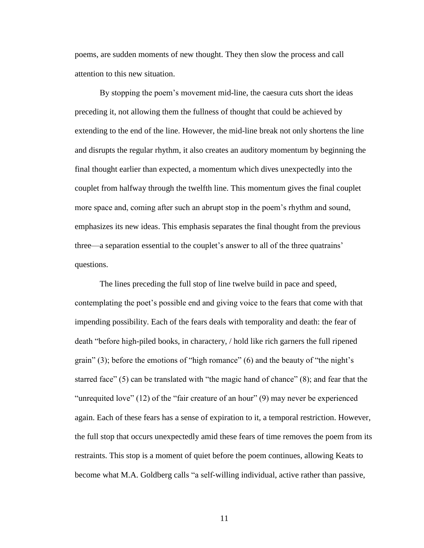poems, are sudden moments of new thought. They then slow the process and call attention to this new situation.

By stopping the poem's movement mid-line, the caesura cuts short the ideas preceding it, not allowing them the fullness of thought that could be achieved by extending to the end of the line. However, the mid-line break not only shortens the line and disrupts the regular rhythm, it also creates an auditory momentum by beginning the final thought earlier than expected, a momentum which dives unexpectedly into the couplet from halfway through the twelfth line. This momentum gives the final couplet more space and, coming after such an abrupt stop in the poem's rhythm and sound, emphasizes its new ideas. This emphasis separates the final thought from the previous three—a separation essential to the couplet's answer to all of the three quatrains' questions.

The lines preceding the full stop of line twelve build in pace and speed, contemplating the poet's possible end and giving voice to the fears that come with that impending possibility. Each of the fears deals with temporality and death: the fear of death "before high-piled books, in charactery, / hold like rich garners the full ripened grain" (3); before the emotions of "high romance" (6) and the beauty of "the night's starred face" (5) can be translated with "the magic hand of chance" (8); and fear that the "unrequited love" (12) of the "fair creature of an hour" (9) may never be experienced again. Each of these fears has a sense of expiration to it, a temporal restriction. However, the full stop that occurs unexpectedly amid these fears of time removes the poem from its restraints. This stop is a moment of quiet before the poem continues, allowing Keats to become what M.A. Goldberg calls "a self-willing individual, active rather than passive,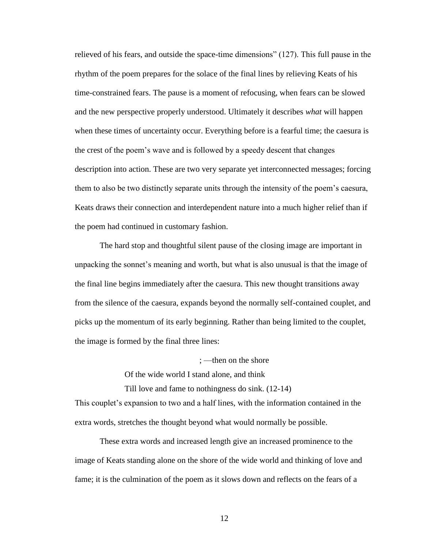relieved of his fears, and outside the space-time dimensions" (127). This full pause in the rhythm of the poem prepares for the solace of the final lines by relieving Keats of his time-constrained fears. The pause is a moment of refocusing, when fears can be slowed and the new perspective properly understood. Ultimately it describes *what* will happen when these times of uncertainty occur. Everything before is a fearful time; the caesura is the crest of the poem's wave and is followed by a speedy descent that changes description into action. These are two very separate yet interconnected messages; forcing them to also be two distinctly separate units through the intensity of the poem's caesura, Keats draws their connection and interdependent nature into a much higher relief than if the poem had continued in customary fashion.

The hard stop and thoughtful silent pause of the closing image are important in unpacking the sonnet's meaning and worth, but what is also unusual is that the image of the final line begins immediately after the caesura. This new thought transitions away from the silence of the caesura, expands beyond the normally self-contained couplet, and picks up the momentum of its early beginning. Rather than being limited to the couplet, the image is formed by the final three lines:

; —then on the shore

Of the wide world I stand alone, and think

Till love and fame to nothingness do sink. (12-14)

This couplet's expansion to two and a half lines, with the information contained in the extra words, stretches the thought beyond what would normally be possible.

These extra words and increased length give an increased prominence to the image of Keats standing alone on the shore of the wide world and thinking of love and fame; it is the culmination of the poem as it slows down and reflects on the fears of a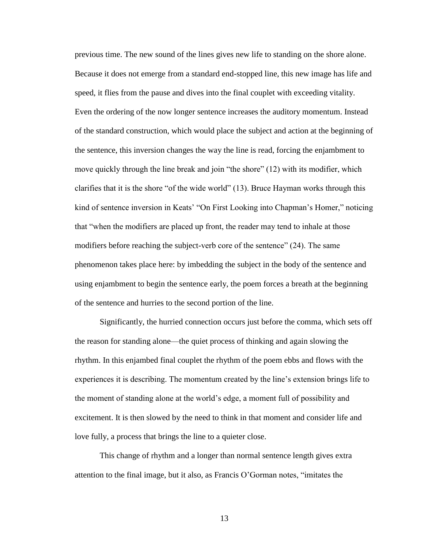previous time. The new sound of the lines gives new life to standing on the shore alone. Because it does not emerge from a standard end-stopped line, this new image has life and speed, it flies from the pause and dives into the final couplet with exceeding vitality. Even the ordering of the now longer sentence increases the auditory momentum. Instead of the standard construction, which would place the subject and action at the beginning of the sentence, this inversion changes the way the line is read, forcing the enjambment to move quickly through the line break and join "the shore" (12) with its modifier, which clarifies that it is the shore "of the wide world" (13). Bruce Hayman works through this kind of sentence inversion in Keats' "On First Looking into Chapman's Homer," noticing that "when the modifiers are placed up front, the reader may tend to inhale at those modifiers before reaching the subject-verb core of the sentence" (24). The same phenomenon takes place here: by imbedding the subject in the body of the sentence and using enjambment to begin the sentence early, the poem forces a breath at the beginning of the sentence and hurries to the second portion of the line.

Significantly, the hurried connection occurs just before the comma, which sets off the reason for standing alone—the quiet process of thinking and again slowing the rhythm. In this enjambed final couplet the rhythm of the poem ebbs and flows with the experiences it is describing. The momentum created by the line's extension brings life to the moment of standing alone at the world's edge, a moment full of possibility and excitement. It is then slowed by the need to think in that moment and consider life and love fully, a process that brings the line to a quieter close.

This change of rhythm and a longer than normal sentence length gives extra attention to the final image, but it also, as Francis O'Gorman notes, "imitates the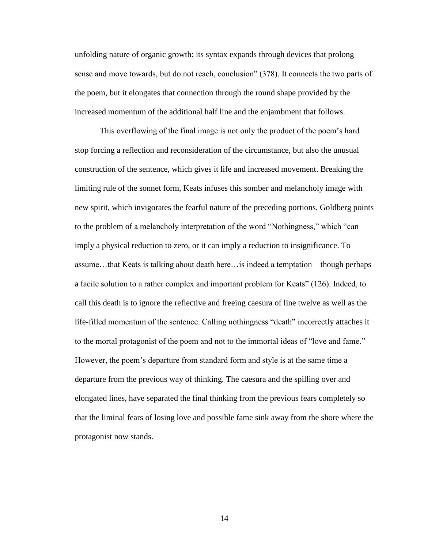unfolding nature of organic growth: its syntax expands through devices that prolong sense and move towards, but do not reach, conclusion" (378). It connects the two parts of the poem, but it elongates that connection through the round shape provided by the increased momentum of the additional half line and the enjambment that follows.

This overflowing of the final image is not only the product of the poem's hard stop forcing a reflection and reconsideration of the circumstance, but also the unusual construction of the sentence, which gives it life and increased movement. Breaking the limiting rule of the sonnet form, Keats infuses this somber and melancholy image with new spirit, which invigorates the fearful nature of the preceding portions. Goldberg points to the problem of a melancholy interpretation of the word "Nothingness," which "can imply a physical reduction to zero, or it can imply a reduction to insignificance. To assume…that Keats is talking about death here…is indeed a temptation—though perhaps a facile solution to a rather complex and important problem for Keats" (126). Indeed, to call this death is to ignore the reflective and freeing caesura of line twelve as well as the life-filled momentum of the sentence. Calling nothingness "death" incorrectly attaches it to the mortal protagonist of the poem and not to the immortal ideas of "love and fame." However, the poem's departure from standard form and style is at the same time a departure from the previous way of thinking. The caesura and the spilling over and elongated lines, have separated the final thinking from the previous fears completely so that the liminal fears of losing love and possible fame sink away from the shore where the protagonist now stands.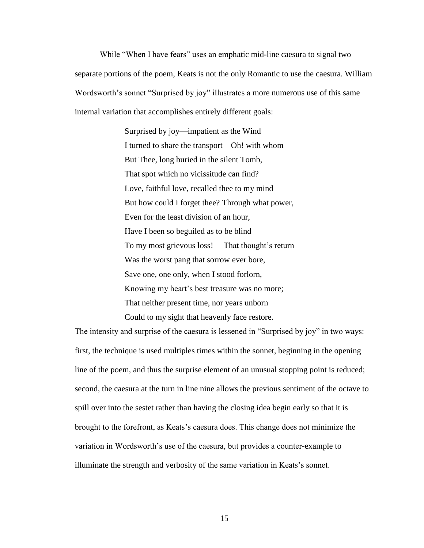While "When I have fears" uses an emphatic mid-line caesura to signal two separate portions of the poem, Keats is not the only Romantic to use the caesura. William Wordsworth's sonnet "Surprised by joy" illustrates a more numerous use of this same internal variation that accomplishes entirely different goals:

> Surprised by joy—impatient as the Wind I turned to share the transport—Oh! with whom But Thee, long buried in the silent Tomb, That spot which no vicissitude can find? Love, faithful love, recalled thee to my mind— But how could I forget thee? Through what power, Even for the least division of an hour, Have I been so beguiled as to be blind To my most grievous loss! —That thought's return Was the worst pang that sorrow ever bore, Save one, one only, when I stood forlorn, Knowing my heart's best treasure was no more; That neither present time, nor years unborn Could to my sight that heavenly face restore.

The intensity and surprise of the caesura is lessened in "Surprised by joy" in two ways: first, the technique is used multiples times within the sonnet, beginning in the opening line of the poem, and thus the surprise element of an unusual stopping point is reduced; second, the caesura at the turn in line nine allows the previous sentiment of the octave to spill over into the sestet rather than having the closing idea begin early so that it is brought to the forefront, as Keats's caesura does. This change does not minimize the variation in Wordsworth's use of the caesura, but provides a counter-example to illuminate the strength and verbosity of the same variation in Keats's sonnet.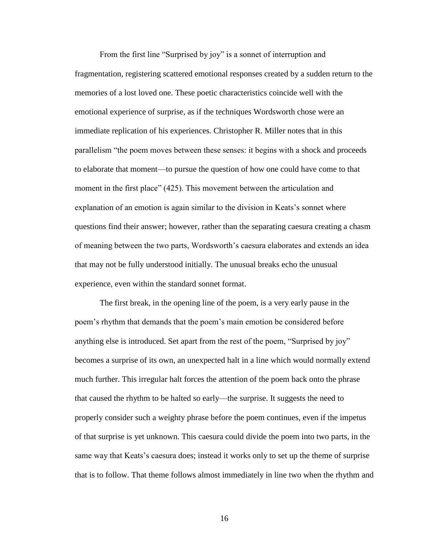From the first line "Surprised by joy" is a sonnet of interruption and fragmentation, registering scattered emotional responses created by a sudden return to the memories of a lost loved one. These poetic characteristics coincide well with the emotional experience of surprise, as if the techniques Wordsworth chose were an immediate replication of his experiences. Christopher R. Miller notes that in this parallelism "the poem moves between these senses: it begins with a shock and proceeds to elaborate that moment—to pursue the question of how one could have come to that moment in the first place" (425). This movement between the articulation and explanation of an emotion is again similar to the division in Keats's sonnet where questions find their answer; however, rather than the separating caesura creating a chasm of meaning between the two parts, Wordsworth's caesura elaborates and extends an idea that may not be fully understood initially. The unusual breaks echo the unusual experience, even within the standard sonnet format.

The first break, in the opening line of the poem, is a very early pause in the poem's rhythm that demands that the poem's main emotion be considered before anything else is introduced. Set apart from the rest of the poem, "Surprised by joy" becomes a surprise of its own, an unexpected halt in a line which would normally extend much further. This irregular halt forces the attention of the poem back onto the phrase that caused the rhythm to be halted so early—the surprise. It suggests the need to properly consider such a weighty phrase before the poem continues, even if the impetus of that surprise is yet unknown. This caesura could divide the poem into two parts, in the same way that Keats's caesura does; instead it works only to set up the theme of surprise that is to follow. That theme follows almost immediately in line two when the rhythm and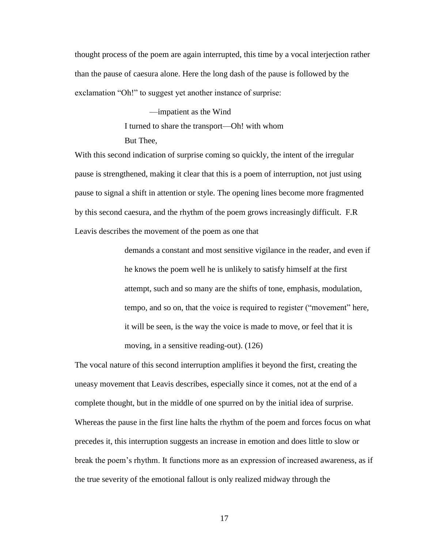thought process of the poem are again interrupted, this time by a vocal interjection rather than the pause of caesura alone. Here the long dash of the pause is followed by the exclamation "Oh!" to suggest yet another instance of surprise:

> —impatient as the Wind I turned to share the transport—Oh! with whom But Thee,

With this second indication of surprise coming so quickly, the intent of the irregular pause is strengthened, making it clear that this is a poem of interruption, not just using pause to signal a shift in attention or style. The opening lines become more fragmented by this second caesura, and the rhythm of the poem grows increasingly difficult. F.R Leavis describes the movement of the poem as one that

> demands a constant and most sensitive vigilance in the reader, and even if he knows the poem well he is unlikely to satisfy himself at the first attempt, such and so many are the shifts of tone, emphasis, modulation, tempo, and so on, that the voice is required to register ("movement" here, it will be seen, is the way the voice is made to move, or feel that it is moving, in a sensitive reading-out). (126)

The vocal nature of this second interruption amplifies it beyond the first, creating the uneasy movement that Leavis describes, especially since it comes, not at the end of a complete thought, but in the middle of one spurred on by the initial idea of surprise. Whereas the pause in the first line halts the rhythm of the poem and forces focus on what precedes it, this interruption suggests an increase in emotion and does little to slow or break the poem's rhythm. It functions more as an expression of increased awareness, as if the true severity of the emotional fallout is only realized midway through the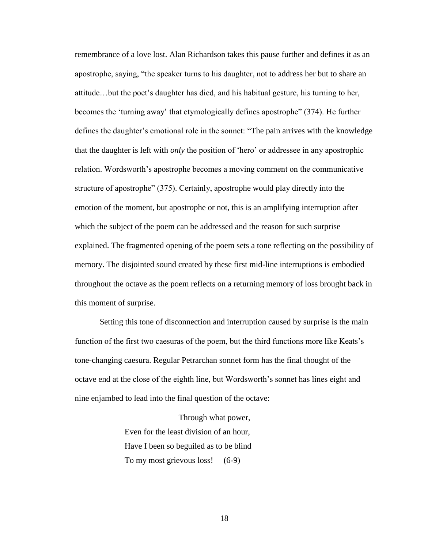remembrance of a love lost. Alan Richardson takes this pause further and defines it as an apostrophe, saying, "the speaker turns to his daughter, not to address her but to share an attitude…but the poet's daughter has died, and his habitual gesture, his turning to her, becomes the 'turning away' that etymologically defines apostrophe" (374). He further defines the daughter's emotional role in the sonnet: "The pain arrives with the knowledge that the daughter is left with *only* the position of 'hero' or addressee in any apostrophic relation. Wordsworth's apostrophe becomes a moving comment on the communicative structure of apostrophe" (375). Certainly, apostrophe would play directly into the emotion of the moment, but apostrophe or not, this is an amplifying interruption after which the subject of the poem can be addressed and the reason for such surprise explained. The fragmented opening of the poem sets a tone reflecting on the possibility of memory. The disjointed sound created by these first mid-line interruptions is embodied throughout the octave as the poem reflects on a returning memory of loss brought back in this moment of surprise.

Setting this tone of disconnection and interruption caused by surprise is the main function of the first two caesuras of the poem, but the third functions more like Keats's tone-changing caesura. Regular Petrarchan sonnet form has the final thought of the octave end at the close of the eighth line, but Wordsworth's sonnet has lines eight and nine enjambed to lead into the final question of the octave:

> Through what power, Even for the least division of an hour, Have I been so beguiled as to be blind To my most grievous  $loss! \rightarrow 6-9$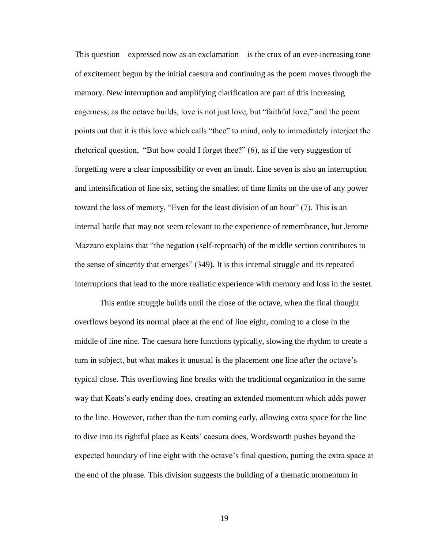This question—expressed now as an exclamation—is the crux of an ever-increasing tone of excitement begun by the initial caesura and continuing as the poem moves through the memory. New interruption and amplifying clarification are part of this increasing eagerness; as the octave builds, love is not just love, but "faithful love," and the poem points out that it is this love which calls "thee" to mind, only to immediately interject the rhetorical question, "But how could I forget thee?" (6), as if the very suggestion of forgetting were a clear impossibility or even an insult. Line seven is also an interruption and intensification of line six, setting the smallest of time limits on the use of any power toward the loss of memory, "Even for the least division of an hour" (7). This is an internal battle that may not seem relevant to the experience of remembrance, but Jerome Mazzaro explains that "the negation (self-reproach) of the middle section contributes to the sense of sincerity that emerges" (349). It is this internal struggle and its repeated interruptions that lead to the more realistic experience with memory and loss in the sestet.

This entire struggle builds until the close of the octave, when the final thought overflows beyond its normal place at the end of line eight, coming to a close in the middle of line nine. The caesura here functions typically, slowing the rhythm to create a turn in subject, but what makes it unusual is the placement one line after the octave's typical close. This overflowing line breaks with the traditional organization in the same way that Keats's early ending does, creating an extended momentum which adds power to the line. However, rather than the turn coming early, allowing extra space for the line to dive into its rightful place as Keats' caesura does, Wordsworth pushes beyond the expected boundary of line eight with the octave's final question, putting the extra space at the end of the phrase. This division suggests the building of a thematic momentum in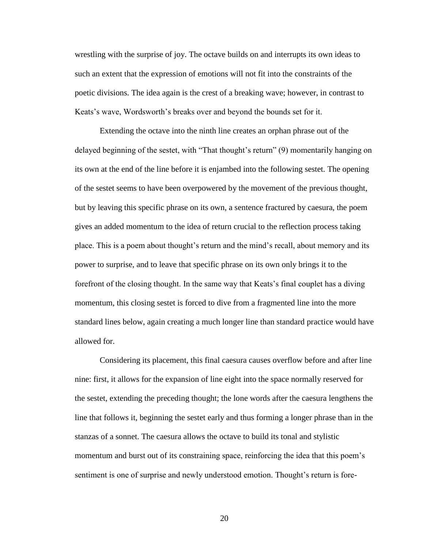wrestling with the surprise of joy. The octave builds on and interrupts its own ideas to such an extent that the expression of emotions will not fit into the constraints of the poetic divisions. The idea again is the crest of a breaking wave; however, in contrast to Keats's wave, Wordsworth's breaks over and beyond the bounds set for it.

Extending the octave into the ninth line creates an orphan phrase out of the delayed beginning of the sestet, with "That thought's return" (9) momentarily hanging on its own at the end of the line before it is enjambed into the following sestet. The opening of the sestet seems to have been overpowered by the movement of the previous thought, but by leaving this specific phrase on its own, a sentence fractured by caesura, the poem gives an added momentum to the idea of return crucial to the reflection process taking place. This is a poem about thought's return and the mind's recall, about memory and its power to surprise, and to leave that specific phrase on its own only brings it to the forefront of the closing thought. In the same way that Keats's final couplet has a diving momentum, this closing sestet is forced to dive from a fragmented line into the more standard lines below, again creating a much longer line than standard practice would have allowed for.

Considering its placement, this final caesura causes overflow before and after line nine: first, it allows for the expansion of line eight into the space normally reserved for the sestet, extending the preceding thought; the lone words after the caesura lengthens the line that follows it, beginning the sestet early and thus forming a longer phrase than in the stanzas of a sonnet. The caesura allows the octave to build its tonal and stylistic momentum and burst out of its constraining space, reinforcing the idea that this poem's sentiment is one of surprise and newly understood emotion. Thought's return is fore-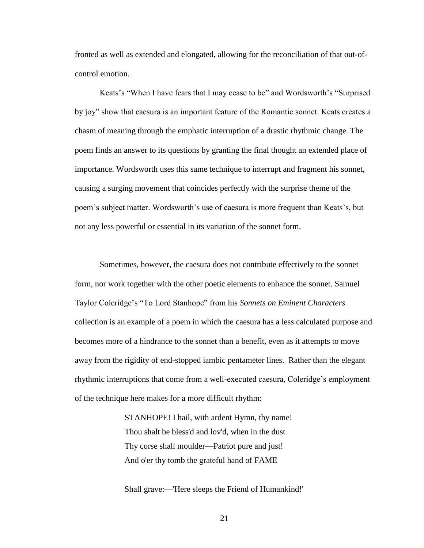fronted as well as extended and elongated, allowing for the reconciliation of that out-ofcontrol emotion.

Keats's "When I have fears that I may cease to be" and Wordsworth's "Surprised by joy" show that caesura is an important feature of the Romantic sonnet. Keats creates a chasm of meaning through the emphatic interruption of a drastic rhythmic change. The poem finds an answer to its questions by granting the final thought an extended place of importance. Wordsworth uses this same technique to interrupt and fragment his sonnet, causing a surging movement that coincides perfectly with the surprise theme of the poem's subject matter. Wordsworth's use of caesura is more frequent than Keats's, but not any less powerful or essential in its variation of the sonnet form.

Sometimes, however, the caesura does not contribute effectively to the sonnet form, nor work together with the other poetic elements to enhance the sonnet. Samuel Taylor Coleridge's "To Lord Stanhope" from his *Sonnets on Eminent Characters* collection is an example of a poem in which the caesura has a less calculated purpose and becomes more of a hindrance to the sonnet than a benefit, even as it attempts to move away from the rigidity of end-stopped iambic pentameter lines. Rather than the elegant rhythmic interruptions that come from a well-executed caesura, Coleridge's employment of the technique here makes for a more difficult rhythm:

> STANHOPE! I hail, with ardent Hymn, thy name! Thou shalt be bless'd and lov'd, when in the dust Thy corse shall moulder—Patriot pure and just! And o'er thy tomb the grateful hand of FAME

Shall grave:—'Here sleeps the Friend of Humankind!'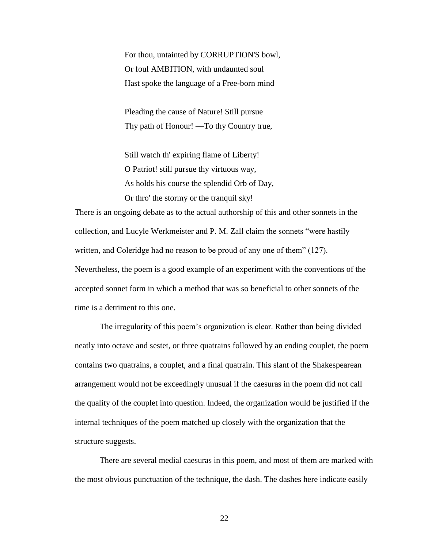For thou, untainted by CORRUPTION'S bowl, Or foul AMBITION, with undaunted soul Hast spoke the language of a Free-born mind

Pleading the cause of Nature! Still pursue Thy path of Honour! —To thy Country true,

Still watch th' expiring flame of Liberty! O Patriot! still pursue thy virtuous way, As holds his course the splendid Orb of Day, Or thro' the stormy or the tranquil sky!

There is an ongoing debate as to the actual authorship of this and other sonnets in the collection, and Lucyle Werkmeister and P. M. Zall claim the sonnets "were hastily written, and Coleridge had no reason to be proud of any one of them" (127). Nevertheless, the poem is a good example of an experiment with the conventions of the accepted sonnet form in which a method that was so beneficial to other sonnets of the time is a detriment to this one.

The irregularity of this poem's organization is clear. Rather than being divided neatly into octave and sestet, or three quatrains followed by an ending couplet, the poem contains two quatrains, a couplet, and a final quatrain. This slant of the Shakespearean arrangement would not be exceedingly unusual if the caesuras in the poem did not call the quality of the couplet into question. Indeed, the organization would be justified if the internal techniques of the poem matched up closely with the organization that the structure suggests.

There are several medial caesuras in this poem, and most of them are marked with the most obvious punctuation of the technique, the dash. The dashes here indicate easily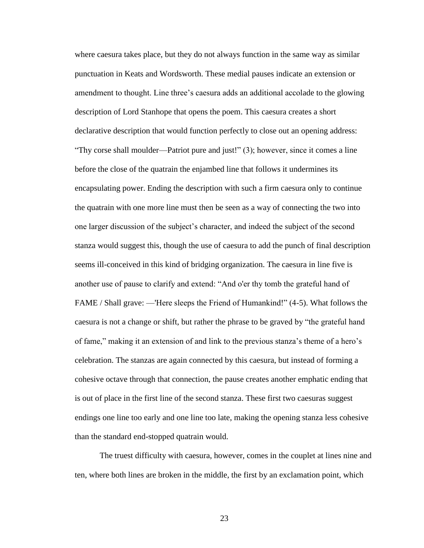where caesura takes place, but they do not always function in the same way as similar punctuation in Keats and Wordsworth. These medial pauses indicate an extension or amendment to thought. Line three's caesura adds an additional accolade to the glowing description of Lord Stanhope that opens the poem. This caesura creates a short declarative description that would function perfectly to close out an opening address: "Thy corse shall moulder—Patriot pure and just!" (3); however, since it comes a line before the close of the quatrain the enjambed line that follows it undermines its encapsulating power. Ending the description with such a firm caesura only to continue the quatrain with one more line must then be seen as a way of connecting the two into one larger discussion of the subject's character, and indeed the subject of the second stanza would suggest this, though the use of caesura to add the punch of final description seems ill-conceived in this kind of bridging organization. The caesura in line five is another use of pause to clarify and extend: "And o'er thy tomb the grateful hand of FAME / Shall grave: —'Here sleeps the Friend of Humankind!" (4-5). What follows the caesura is not a change or shift, but rather the phrase to be graved by "the grateful hand of fame," making it an extension of and link to the previous stanza's theme of a hero's celebration. The stanzas are again connected by this caesura, but instead of forming a cohesive octave through that connection, the pause creates another emphatic ending that is out of place in the first line of the second stanza. These first two caesuras suggest endings one line too early and one line too late, making the opening stanza less cohesive than the standard end-stopped quatrain would.

The truest difficulty with caesura, however, comes in the couplet at lines nine and ten, where both lines are broken in the middle, the first by an exclamation point, which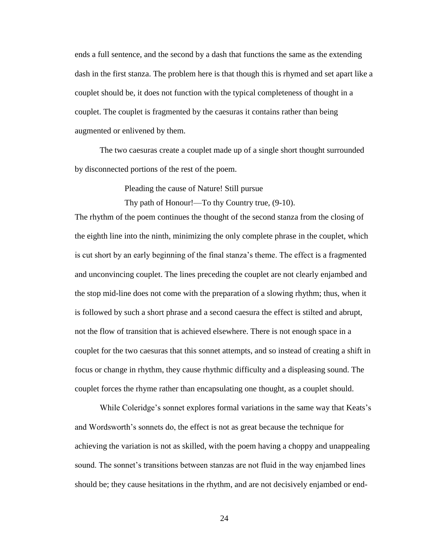ends a full sentence, and the second by a dash that functions the same as the extending dash in the first stanza. The problem here is that though this is rhymed and set apart like a couplet should be, it does not function with the typical completeness of thought in a couplet. The couplet is fragmented by the caesuras it contains rather than being augmented or enlivened by them.

The two caesuras create a couplet made up of a single short thought surrounded by disconnected portions of the rest of the poem.

Pleading the cause of Nature! Still pursue

Thy path of Honour!—To thy Country true, (9-10).

The rhythm of the poem continues the thought of the second stanza from the closing of the eighth line into the ninth, minimizing the only complete phrase in the couplet, which is cut short by an early beginning of the final stanza's theme. The effect is a fragmented and unconvincing couplet. The lines preceding the couplet are not clearly enjambed and the stop mid-line does not come with the preparation of a slowing rhythm; thus, when it is followed by such a short phrase and a second caesura the effect is stilted and abrupt, not the flow of transition that is achieved elsewhere. There is not enough space in a couplet for the two caesuras that this sonnet attempts, and so instead of creating a shift in focus or change in rhythm, they cause rhythmic difficulty and a displeasing sound. The couplet forces the rhyme rather than encapsulating one thought, as a couplet should.

While Coleridge's sonnet explores formal variations in the same way that Keats's and Wordsworth's sonnets do, the effect is not as great because the technique for achieving the variation is not as skilled, with the poem having a choppy and unappealing sound. The sonnet's transitions between stanzas are not fluid in the way enjambed lines should be; they cause hesitations in the rhythm, and are not decisively enjambed or end-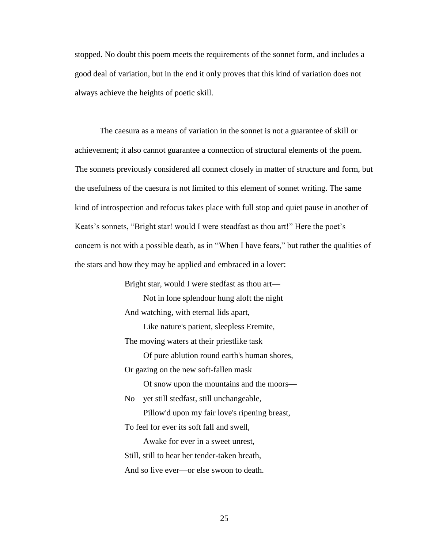stopped. No doubt this poem meets the requirements of the sonnet form, and includes a good deal of variation, but in the end it only proves that this kind of variation does not always achieve the heights of poetic skill.

The caesura as a means of variation in the sonnet is not a guarantee of skill or achievement; it also cannot guarantee a connection of structural elements of the poem. The sonnets previously considered all connect closely in matter of structure and form, but the usefulness of the caesura is not limited to this element of sonnet writing. The same kind of introspection and refocus takes place with full stop and quiet pause in another of Keats's sonnets, "Bright star! would I were steadfast as thou art!" Here the poet's concern is not with a possible death, as in "When I have fears," but rather the qualities of the stars and how they may be applied and embraced in a lover:

Bright star, would I were stedfast as thou art—

 Not in lone splendour hung aloft the night And watching, with eternal lids apart,

 Like nature's patient, sleepless Eremite, The moving waters at their priestlike task

 Of pure ablution round earth's human shores, Or gazing on the new soft-fallen mask

 Of snow upon the mountains and the moors— No—yet still stedfast, still unchangeable,

 Pillow'd upon my fair love's ripening breast, To feel for ever its soft fall and swell,

 Awake for ever in a sweet unrest, Still, still to hear her tender-taken breath, And so live ever—or else swoon to death.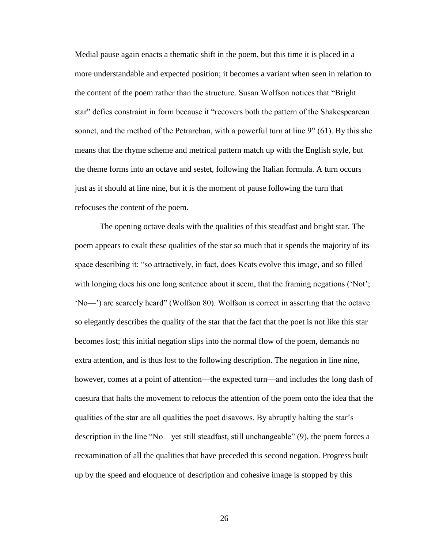Medial pause again enacts a thematic shift in the poem, but this time it is placed in a more understandable and expected position; it becomes a variant when seen in relation to the content of the poem rather than the structure. Susan Wolfson notices that "Bright star" defies constraint in form because it "recovers both the pattern of the Shakespearean sonnet, and the method of the Petrarchan, with a powerful turn at line 9" (61). By this she means that the rhyme scheme and metrical pattern match up with the English style, but the theme forms into an octave and sestet, following the Italian formula. A turn occurs just as it should at line nine, but it is the moment of pause following the turn that refocuses the content of the poem.

The opening octave deals with the qualities of this steadfast and bright star. The poem appears to exalt these qualities of the star so much that it spends the majority of its space describing it: "so attractively, in fact, does Keats evolve this image, and so filled with longing does his one long sentence about it seem, that the framing negations ('Not'; 'No—') are scarcely heard" (Wolfson 80). Wolfson is correct in asserting that the octave so elegantly describes the quality of the star that the fact that the poet is not like this star becomes lost; this initial negation slips into the normal flow of the poem, demands no extra attention, and is thus lost to the following description. The negation in line nine, however, comes at a point of attention—the expected turn—and includes the long dash of caesura that halts the movement to refocus the attention of the poem onto the idea that the qualities of the star are all qualities the poet disavows. By abruptly halting the star's description in the line "No—yet still steadfast, still unchangeable" (9), the poem forces a reexamination of all the qualities that have preceded this second negation. Progress built up by the speed and eloquence of description and cohesive image is stopped by this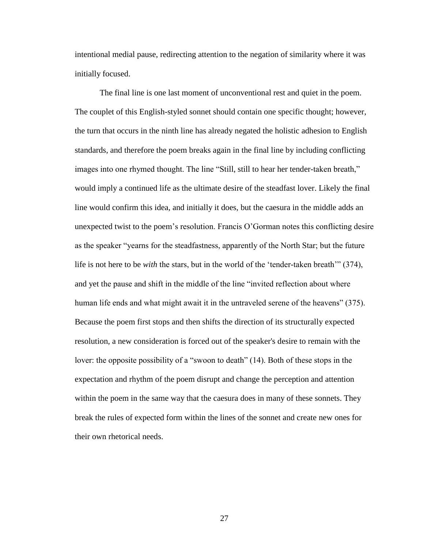intentional medial pause, redirecting attention to the negation of similarity where it was initially focused.

The final line is one last moment of unconventional rest and quiet in the poem. The couplet of this English-styled sonnet should contain one specific thought; however, the turn that occurs in the ninth line has already negated the holistic adhesion to English standards, and therefore the poem breaks again in the final line by including conflicting images into one rhymed thought. The line "Still, still to hear her tender-taken breath," would imply a continued life as the ultimate desire of the steadfast lover. Likely the final line would confirm this idea, and initially it does, but the caesura in the middle adds an unexpected twist to the poem's resolution. Francis O'Gorman notes this conflicting desire as the speaker "yearns for the steadfastness, apparently of the North Star; but the future life is not here to be *with* the stars, but in the world of the 'tender-taken breath'" (374), and yet the pause and shift in the middle of the line "invited reflection about where human life ends and what might await it in the untraveled serene of the heavens" (375). Because the poem first stops and then shifts the direction of its structurally expected resolution, a new consideration is forced out of the speaker's desire to remain with the lover: the opposite possibility of a "swoon to death" (14). Both of these stops in the expectation and rhythm of the poem disrupt and change the perception and attention within the poem in the same way that the caesura does in many of these sonnets. They break the rules of expected form within the lines of the sonnet and create new ones for their own rhetorical needs.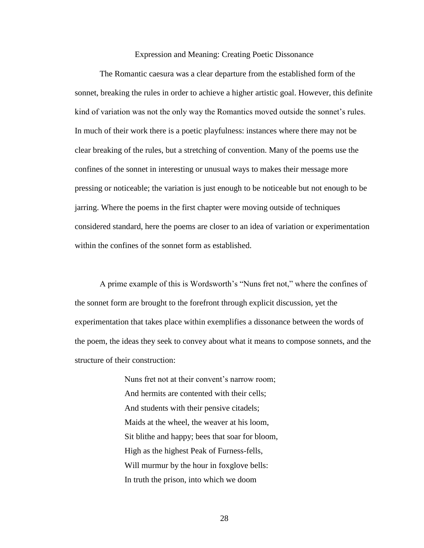Expression and Meaning: Creating Poetic Dissonance

The Romantic caesura was a clear departure from the established form of the sonnet, breaking the rules in order to achieve a higher artistic goal. However, this definite kind of variation was not the only way the Romantics moved outside the sonnet's rules. In much of their work there is a poetic playfulness: instances where there may not be clear breaking of the rules, but a stretching of convention. Many of the poems use the confines of the sonnet in interesting or unusual ways to makes their message more pressing or noticeable; the variation is just enough to be noticeable but not enough to be jarring. Where the poems in the first chapter were moving outside of techniques considered standard, here the poems are closer to an idea of variation or experimentation within the confines of the sonnet form as established.

A prime example of this is Wordsworth's "Nuns fret not," where the confines of the sonnet form are brought to the forefront through explicit discussion, yet the experimentation that takes place within exemplifies a dissonance between the words of the poem, the ideas they seek to convey about what it means to compose sonnets, and the structure of their construction:

> Nuns fret not at their convent's narrow room; And hermits are contented with their cells; And students with their pensive citadels; Maids at the wheel, the weaver at his loom, Sit blithe and happy; bees that soar for bloom, High as the highest Peak of Furness-fells, Will murmur by the hour in foxglove bells: In truth the prison, into which we doom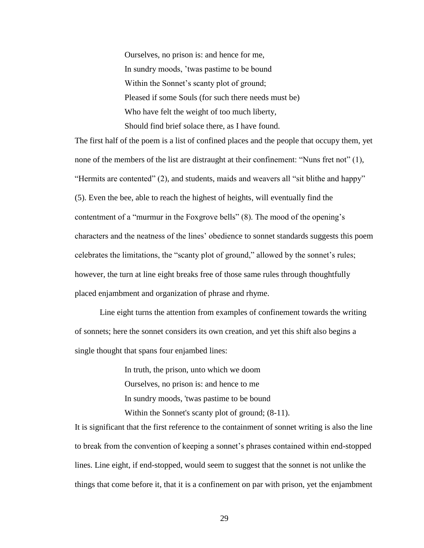Ourselves, no prison is: and hence for me, In sundry moods, 'twas pastime to be bound Within the Sonnet's scanty plot of ground; Pleased if some Souls (for such there needs must be) Who have felt the weight of too much liberty, Should find brief solace there, as I have found.

The first half of the poem is a list of confined places and the people that occupy them, yet none of the members of the list are distraught at their confinement: "Nuns fret not" (1), "Hermits are contented" (2), and students, maids and weavers all "sit blithe and happy" (5). Even the bee, able to reach the highest of heights, will eventually find the contentment of a "murmur in the Foxgrove bells" (8). The mood of the opening's characters and the neatness of the lines' obedience to sonnet standards suggests this poem celebrates the limitations, the "scanty plot of ground," allowed by the sonnet's rules; however, the turn at line eight breaks free of those same rules through thoughtfully placed enjambment and organization of phrase and rhyme.

Line eight turns the attention from examples of confinement towards the writing of sonnets; here the sonnet considers its own creation, and yet this shift also begins a single thought that spans four enjambed lines:

> In truth, the prison, unto which we doom Ourselves, no prison is: and hence to me In sundry moods, 'twas pastime to be bound Within the Sonnet's scanty plot of ground; (8-11).

It is significant that the first reference to the containment of sonnet writing is also the line to break from the convention of keeping a sonnet's phrases contained within end-stopped lines. Line eight, if end-stopped, would seem to suggest that the sonnet is not unlike the things that come before it, that it is a confinement on par with prison, yet the enjambment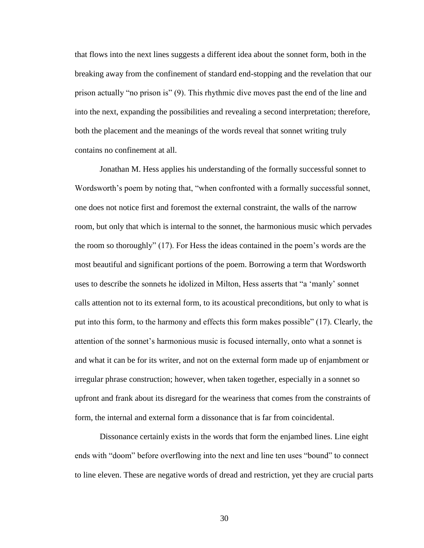that flows into the next lines suggests a different idea about the sonnet form, both in the breaking away from the confinement of standard end-stopping and the revelation that our prison actually "no prison is" (9). This rhythmic dive moves past the end of the line and into the next, expanding the possibilities and revealing a second interpretation; therefore, both the placement and the meanings of the words reveal that sonnet writing truly contains no confinement at all.

Jonathan M. Hess applies his understanding of the formally successful sonnet to Wordsworth's poem by noting that, "when confronted with a formally successful sonnet, one does not notice first and foremost the external constraint, the walls of the narrow room, but only that which is internal to the sonnet, the harmonious music which pervades the room so thoroughly" (17). For Hess the ideas contained in the poem's words are the most beautiful and significant portions of the poem. Borrowing a term that Wordsworth uses to describe the sonnets he idolized in Milton, Hess asserts that "a 'manly' sonnet calls attention not to its external form, to its acoustical preconditions, but only to what is put into this form, to the harmony and effects this form makes possible" (17). Clearly, the attention of the sonnet's harmonious music is focused internally, onto what a sonnet is and what it can be for its writer, and not on the external form made up of enjambment or irregular phrase construction; however, when taken together, especially in a sonnet so upfront and frank about its disregard for the weariness that comes from the constraints of form, the internal and external form a dissonance that is far from coincidental.

Dissonance certainly exists in the words that form the enjambed lines. Line eight ends with "doom" before overflowing into the next and line ten uses "bound" to connect to line eleven. These are negative words of dread and restriction, yet they are crucial parts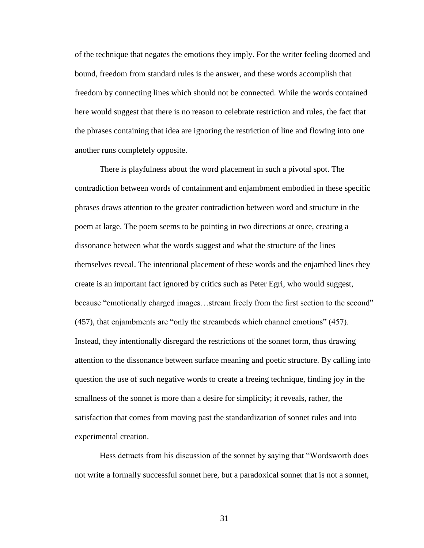of the technique that negates the emotions they imply. For the writer feeling doomed and bound, freedom from standard rules is the answer, and these words accomplish that freedom by connecting lines which should not be connected. While the words contained here would suggest that there is no reason to celebrate restriction and rules, the fact that the phrases containing that idea are ignoring the restriction of line and flowing into one another runs completely opposite.

There is playfulness about the word placement in such a pivotal spot. The contradiction between words of containment and enjambment embodied in these specific phrases draws attention to the greater contradiction between word and structure in the poem at large. The poem seems to be pointing in two directions at once, creating a dissonance between what the words suggest and what the structure of the lines themselves reveal. The intentional placement of these words and the enjambed lines they create is an important fact ignored by critics such as Peter Egri, who would suggest, because "emotionally charged images...stream freely from the first section to the second" (457), that enjambments are "only the streambeds which channel emotions" (457). Instead, they intentionally disregard the restrictions of the sonnet form, thus drawing attention to the dissonance between surface meaning and poetic structure. By calling into question the use of such negative words to create a freeing technique, finding joy in the smallness of the sonnet is more than a desire for simplicity; it reveals, rather, the satisfaction that comes from moving past the standardization of sonnet rules and into experimental creation.

Hess detracts from his discussion of the sonnet by saying that "Wordsworth does not write a formally successful sonnet here, but a paradoxical sonnet that is not a sonnet,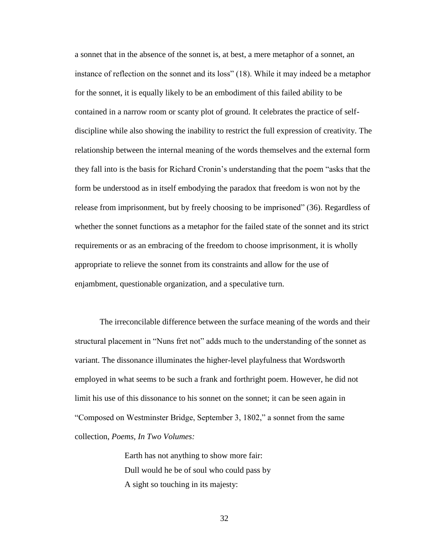a sonnet that in the absence of the sonnet is, at best, a mere metaphor of a sonnet, an instance of reflection on the sonnet and its loss" (18). While it may indeed be a metaphor for the sonnet, it is equally likely to be an embodiment of this failed ability to be contained in a narrow room or scanty plot of ground. It celebrates the practice of selfdiscipline while also showing the inability to restrict the full expression of creativity. The relationship between the internal meaning of the words themselves and the external form they fall into is the basis for Richard Cronin's understanding that the poem "asks that the form be understood as in itself embodying the paradox that freedom is won not by the release from imprisonment, but by freely choosing to be imprisoned" (36). Regardless of whether the sonnet functions as a metaphor for the failed state of the sonnet and its strict requirements or as an embracing of the freedom to choose imprisonment, it is wholly appropriate to relieve the sonnet from its constraints and allow for the use of enjambment, questionable organization, and a speculative turn.

The irreconcilable difference between the surface meaning of the words and their structural placement in "Nuns fret not" adds much to the understanding of the sonnet as variant. The dissonance illuminates the higher-level playfulness that Wordsworth employed in what seems to be such a frank and forthright poem. However, he did not limit his use of this dissonance to his sonnet on the sonnet; it can be seen again in "Composed on Westminster Bridge, September 3, 1802," a sonnet from the same collection, *Poems, In Two Volumes:*

> Earth has not anything to show more fair: Dull would he be of soul who could pass by A sight so touching in its majesty: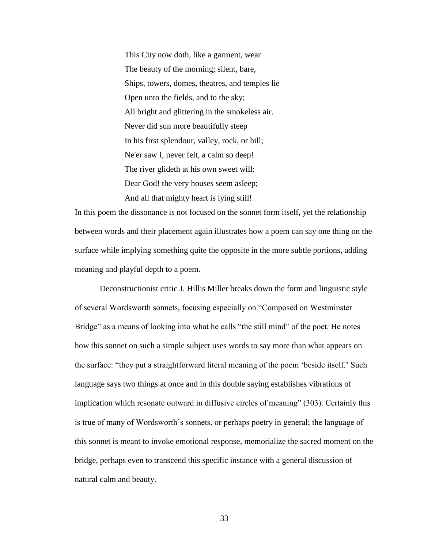This City now doth, like a garment, wear The beauty of the morning; silent, bare, Ships, towers, domes, theatres, and temples lie Open unto the fields, and to the sky; All bright and glittering in the smokeless air. Never did sun more beautifully steep In his first splendour, valley, rock, or hill; Ne'er saw I, never felt, a calm so deep! The river glideth at his own sweet will: Dear God! the very houses seem asleep; And all that mighty heart is lying still!

In this poem the dissonance is not focused on the sonnet form itself, yet the relationship between words and their placement again illustrates how a poem can say one thing on the surface while implying something quite the opposite in the more subtle portions, adding meaning and playful depth to a poem.

Deconstructionist critic J. Hillis Miller breaks down the form and linguistic style of several Wordsworth sonnets, focusing especially on "Composed on Westminster Bridge" as a means of looking into what he calls "the still mind" of the poet. He notes how this sonnet on such a simple subject uses words to say more than what appears on the surface: "they put a straightforward literal meaning of the poem 'beside itself.' Such language says two things at once and in this double saying establishes vibrations of implication which resonate outward in diffusive circles of meaning" (303). Certainly this is true of many of Wordsworth's sonnets, or perhaps poetry in general; the language of this sonnet is meant to invoke emotional response, memorialize the sacred moment on the bridge, perhaps even to transcend this specific instance with a general discussion of natural calm and beauty.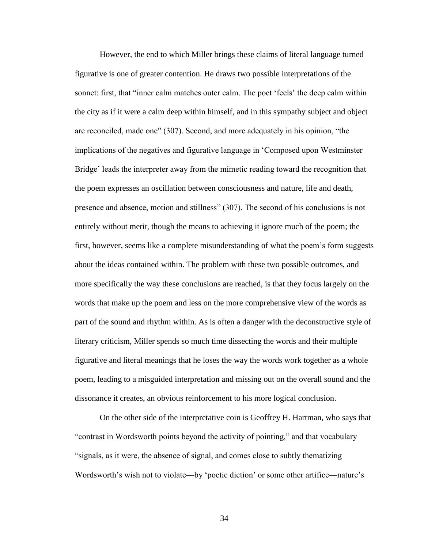However, the end to which Miller brings these claims of literal language turned figurative is one of greater contention. He draws two possible interpretations of the sonnet: first, that "inner calm matches outer calm. The poet 'feels' the deep calm within the city as if it were a calm deep within himself, and in this sympathy subject and object are reconciled, made one" (307). Second, and more adequately in his opinion, "the implications of the negatives and figurative language in 'Composed upon Westminster Bridge' leads the interpreter away from the mimetic reading toward the recognition that the poem expresses an oscillation between consciousness and nature, life and death, presence and absence, motion and stillness" (307). The second of his conclusions is not entirely without merit, though the means to achieving it ignore much of the poem; the first, however, seems like a complete misunderstanding of what the poem's form suggests about the ideas contained within. The problem with these two possible outcomes, and more specifically the way these conclusions are reached, is that they focus largely on the words that make up the poem and less on the more comprehensive view of the words as part of the sound and rhythm within. As is often a danger with the deconstructive style of literary criticism, Miller spends so much time dissecting the words and their multiple figurative and literal meanings that he loses the way the words work together as a whole poem, leading to a misguided interpretation and missing out on the overall sound and the dissonance it creates, an obvious reinforcement to his more logical conclusion.

On the other side of the interpretative coin is Geoffrey H. Hartman, who says that "contrast in Wordsworth points beyond the activity of pointing," and that vocabulary "signals, as it were, the absence of signal, and comes close to subtly thematizing Wordsworth's wish not to violate—by 'poetic diction' or some other artifice—nature's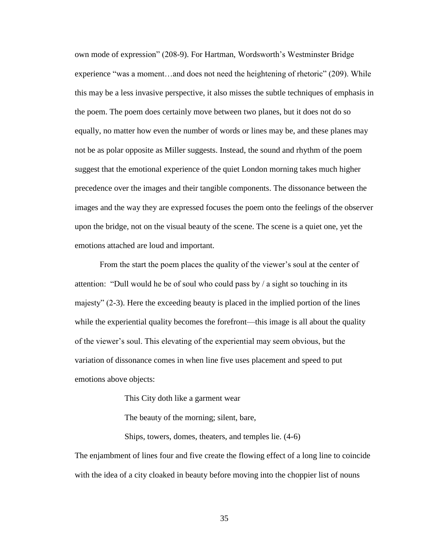own mode of expression" (208-9). For Hartman, Wordsworth's Westminster Bridge experience "was a moment…and does not need the heightening of rhetoric" (209). While this may be a less invasive perspective, it also misses the subtle techniques of emphasis in the poem. The poem does certainly move between two planes, but it does not do so equally, no matter how even the number of words or lines may be, and these planes may not be as polar opposite as Miller suggests. Instead, the sound and rhythm of the poem suggest that the emotional experience of the quiet London morning takes much higher precedence over the images and their tangible components. The dissonance between the images and the way they are expressed focuses the poem onto the feelings of the observer upon the bridge, not on the visual beauty of the scene. The scene is a quiet one, yet the emotions attached are loud and important.

From the start the poem places the quality of the viewer's soul at the center of attention: "Dull would he be of soul who could pass by / a sight so touching in its majesty" (2-3). Here the exceeding beauty is placed in the implied portion of the lines while the experiential quality becomes the forefront—this image is all about the quality of the viewer's soul. This elevating of the experiential may seem obvious, but the variation of dissonance comes in when line five uses placement and speed to put emotions above objects:

This City doth like a garment wear

The beauty of the morning; silent, bare,

Ships, towers, domes, theaters, and temples lie. (4-6)

The enjambment of lines four and five create the flowing effect of a long line to coincide with the idea of a city cloaked in beauty before moving into the choppier list of nouns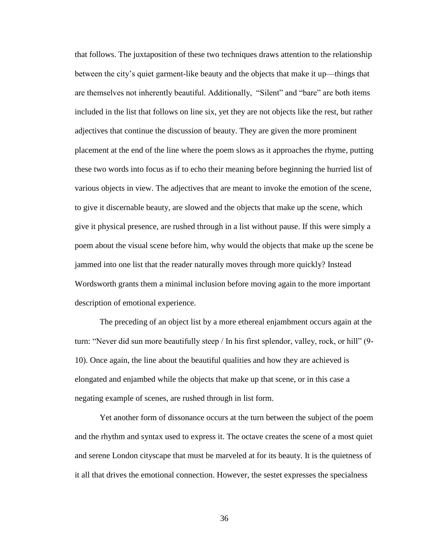that follows. The juxtaposition of these two techniques draws attention to the relationship between the city's quiet garment-like beauty and the objects that make it up—things that are themselves not inherently beautiful. Additionally, "Silent" and "bare" are both items included in the list that follows on line six, yet they are not objects like the rest, but rather adjectives that continue the discussion of beauty. They are given the more prominent placement at the end of the line where the poem slows as it approaches the rhyme, putting these two words into focus as if to echo their meaning before beginning the hurried list of various objects in view. The adjectives that are meant to invoke the emotion of the scene, to give it discernable beauty, are slowed and the objects that make up the scene, which give it physical presence, are rushed through in a list without pause. If this were simply a poem about the visual scene before him, why would the objects that make up the scene be jammed into one list that the reader naturally moves through more quickly? Instead Wordsworth grants them a minimal inclusion before moving again to the more important description of emotional experience.

The preceding of an object list by a more ethereal enjambment occurs again at the turn: "Never did sun more beautifully steep / In his first splendor, valley, rock, or hill" (9- 10). Once again, the line about the beautiful qualities and how they are achieved is elongated and enjambed while the objects that make up that scene, or in this case a negating example of scenes, are rushed through in list form.

Yet another form of dissonance occurs at the turn between the subject of the poem and the rhythm and syntax used to express it. The octave creates the scene of a most quiet and serene London cityscape that must be marveled at for its beauty. It is the quietness of it all that drives the emotional connection. However, the sestet expresses the specialness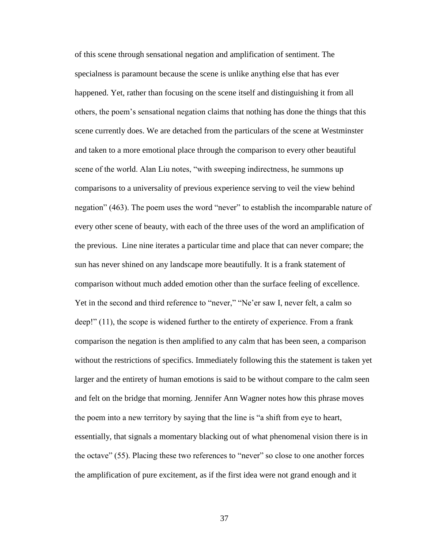of this scene through sensational negation and amplification of sentiment. The specialness is paramount because the scene is unlike anything else that has ever happened. Yet, rather than focusing on the scene itself and distinguishing it from all others, the poem's sensational negation claims that nothing has done the things that this scene currently does. We are detached from the particulars of the scene at Westminster and taken to a more emotional place through the comparison to every other beautiful scene of the world. Alan Liu notes, "with sweeping indirectness, he summons up comparisons to a universality of previous experience serving to veil the view behind negation" (463). The poem uses the word "never" to establish the incomparable nature of every other scene of beauty, with each of the three uses of the word an amplification of the previous. Line nine iterates a particular time and place that can never compare; the sun has never shined on any landscape more beautifully. It is a frank statement of comparison without much added emotion other than the surface feeling of excellence. Yet in the second and third reference to "never," "Ne'er saw I, never felt, a calm so deep!" (11), the scope is widened further to the entirety of experience. From a frank comparison the negation is then amplified to any calm that has been seen, a comparison without the restrictions of specifics. Immediately following this the statement is taken yet larger and the entirety of human emotions is said to be without compare to the calm seen and felt on the bridge that morning. Jennifer Ann Wagner notes how this phrase moves the poem into a new territory by saying that the line is "a shift from eye to heart, essentially, that signals a momentary blacking out of what phenomenal vision there is in the octave" (55). Placing these two references to "never" so close to one another forces the amplification of pure excitement, as if the first idea were not grand enough and it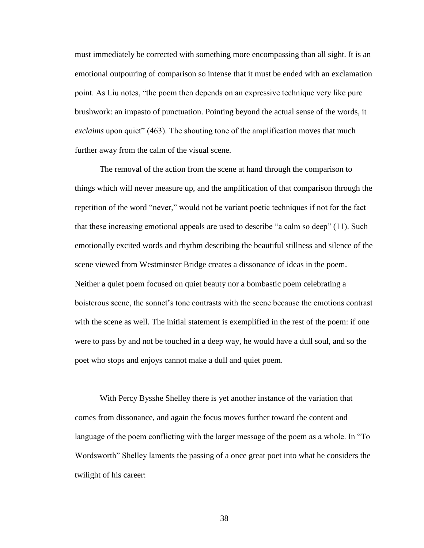must immediately be corrected with something more encompassing than all sight. It is an emotional outpouring of comparison so intense that it must be ended with an exclamation point. As Liu notes, "the poem then depends on an expressive technique very like pure brushwork: an impasto of punctuation. Pointing beyond the actual sense of the words, it *exclaims* upon quiet" (463). The shouting tone of the amplification moves that much further away from the calm of the visual scene.

The removal of the action from the scene at hand through the comparison to things which will never measure up, and the amplification of that comparison through the repetition of the word "never," would not be variant poetic techniques if not for the fact that these increasing emotional appeals are used to describe "a calm so deep" (11). Such emotionally excited words and rhythm describing the beautiful stillness and silence of the scene viewed from Westminster Bridge creates a dissonance of ideas in the poem. Neither a quiet poem focused on quiet beauty nor a bombastic poem celebrating a boisterous scene, the sonnet's tone contrasts with the scene because the emotions contrast with the scene as well. The initial statement is exemplified in the rest of the poem: if one were to pass by and not be touched in a deep way, he would have a dull soul, and so the poet who stops and enjoys cannot make a dull and quiet poem.

With Percy Bysshe Shelley there is yet another instance of the variation that comes from dissonance, and again the focus moves further toward the content and language of the poem conflicting with the larger message of the poem as a whole. In "To Wordsworth" Shelley laments the passing of a once great poet into what he considers the twilight of his career: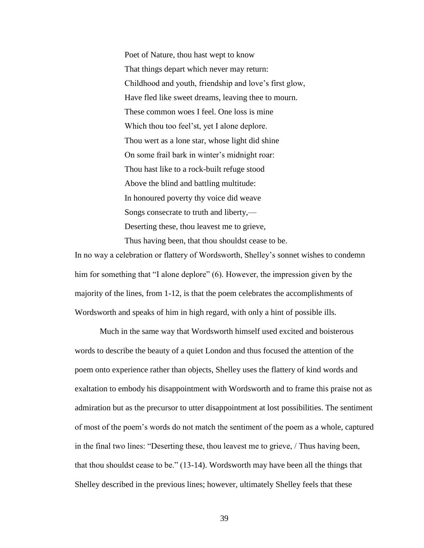Poet of Nature, thou hast wept to know That things depart which never may return: Childhood and youth, friendship and love's first glow, Have fled like sweet dreams, leaving thee to mourn. These common woes I feel. One loss is mine Which thou too feel'st, yet I alone deplore. Thou wert as a lone star, whose light did shine On some frail bark in winter's midnight roar: Thou hast like to a rock-built refuge stood Above the blind and battling multitude: In honoured poverty thy voice did weave Songs consecrate to truth and liberty,— Deserting these, thou leavest me to grieve, Thus having been, that thou shouldst cease to be.

In no way a celebration or flattery of Wordsworth, Shelley's sonnet wishes to condemn him for something that "I alone deplore" (6). However, the impression given by the majority of the lines, from 1-12, is that the poem celebrates the accomplishments of Wordsworth and speaks of him in high regard, with only a hint of possible ills.

Much in the same way that Wordsworth himself used excited and boisterous words to describe the beauty of a quiet London and thus focused the attention of the poem onto experience rather than objects, Shelley uses the flattery of kind words and exaltation to embody his disappointment with Wordsworth and to frame this praise not as admiration but as the precursor to utter disappointment at lost possibilities. The sentiment of most of the poem's words do not match the sentiment of the poem as a whole, captured in the final two lines: "Deserting these, thou leavest me to grieve, / Thus having been, that thou shouldst cease to be." (13-14). Wordsworth may have been all the things that Shelley described in the previous lines; however, ultimately Shelley feels that these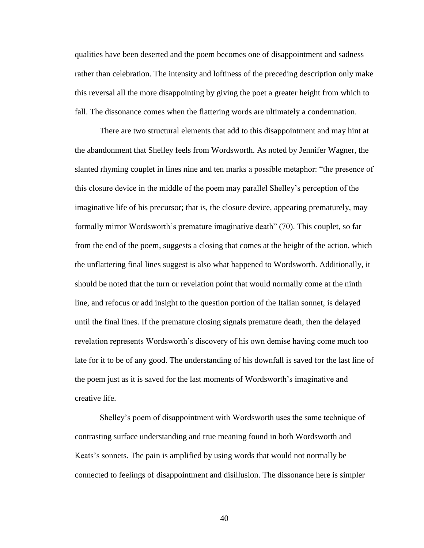qualities have been deserted and the poem becomes one of disappointment and sadness rather than celebration. The intensity and loftiness of the preceding description only make this reversal all the more disappointing by giving the poet a greater height from which to fall. The dissonance comes when the flattering words are ultimately a condemnation.

There are two structural elements that add to this disappointment and may hint at the abandonment that Shelley feels from Wordsworth. As noted by Jennifer Wagner, the slanted rhyming couplet in lines nine and ten marks a possible metaphor: "the presence of this closure device in the middle of the poem may parallel Shelley's perception of the imaginative life of his precursor; that is, the closure device, appearing prematurely, may formally mirror Wordsworth's premature imaginative death" (70). This couplet, so far from the end of the poem, suggests a closing that comes at the height of the action, which the unflattering final lines suggest is also what happened to Wordsworth. Additionally, it should be noted that the turn or revelation point that would normally come at the ninth line, and refocus or add insight to the question portion of the Italian sonnet, is delayed until the final lines. If the premature closing signals premature death, then the delayed revelation represents Wordsworth's discovery of his own demise having come much too late for it to be of any good. The understanding of his downfall is saved for the last line of the poem just as it is saved for the last moments of Wordsworth's imaginative and creative life.

Shelley's poem of disappointment with Wordsworth uses the same technique of contrasting surface understanding and true meaning found in both Wordsworth and Keats's sonnets. The pain is amplified by using words that would not normally be connected to feelings of disappointment and disillusion. The dissonance here is simpler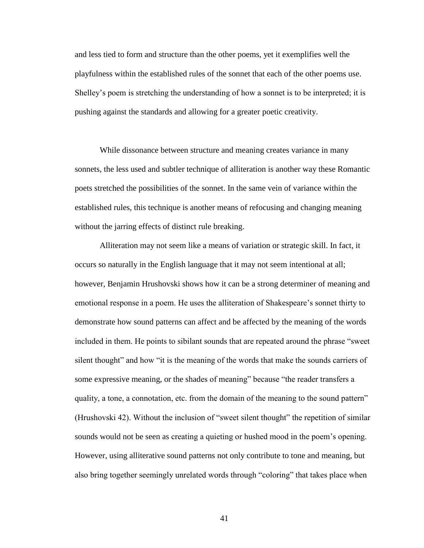and less tied to form and structure than the other poems, yet it exemplifies well the playfulness within the established rules of the sonnet that each of the other poems use. Shelley's poem is stretching the understanding of how a sonnet is to be interpreted; it is pushing against the standards and allowing for a greater poetic creativity.

While dissonance between structure and meaning creates variance in many sonnets, the less used and subtler technique of alliteration is another way these Romantic poets stretched the possibilities of the sonnet. In the same vein of variance within the established rules, this technique is another means of refocusing and changing meaning without the jarring effects of distinct rule breaking.

Alliteration may not seem like a means of variation or strategic skill. In fact, it occurs so naturally in the English language that it may not seem intentional at all; however, Benjamin Hrushovski shows how it can be a strong determiner of meaning and emotional response in a poem. He uses the alliteration of Shakespeare's sonnet thirty to demonstrate how sound patterns can affect and be affected by the meaning of the words included in them. He points to sibilant sounds that are repeated around the phrase "sweet silent thought" and how "it is the meaning of the words that make the sounds carriers of some expressive meaning, or the shades of meaning" because "the reader transfers a quality, a tone, a connotation, etc. from the domain of the meaning to the sound pattern" (Hrushovski 42). Without the inclusion of "sweet silent thought" the repetition of similar sounds would not be seen as creating a quieting or hushed mood in the poem's opening. However, using alliterative sound patterns not only contribute to tone and meaning, but also bring together seemingly unrelated words through "coloring" that takes place when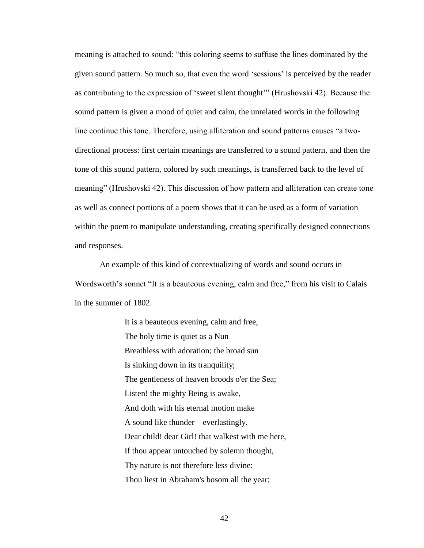meaning is attached to sound: "this coloring seems to suffuse the lines dominated by the given sound pattern. So much so, that even the word 'sessions' is perceived by the reader as contributing to the expression of 'sweet silent thought'" (Hrushovski 42). Because the sound pattern is given a mood of quiet and calm, the unrelated words in the following line continue this tone. Therefore, using alliteration and sound patterns causes "a twodirectional process: first certain meanings are transferred to a sound pattern, and then the tone of this sound pattern, colored by such meanings, is transferred back to the level of meaning" (Hrushovski 42). This discussion of how pattern and alliteration can create tone as well as connect portions of a poem shows that it can be used as a form of variation within the poem to manipulate understanding, creating specifically designed connections and responses.

An example of this kind of contextualizing of words and sound occurs in Wordsworth's sonnet "It is a beauteous evening, calm and free," from his visit to Calais in the summer of 1802.

> It is a beauteous evening, calm and free, The holy time is quiet as a Nun Breathless with adoration; the broad sun Is sinking down in its tranquility; The gentleness of heaven broods o'er the Sea; Listen! the mighty Being is awake, And doth with his eternal motion make A sound like thunder—everlastingly. Dear child! dear Girl! that walkest with me here, If thou appear untouched by solemn thought, Thy nature is not therefore less divine: Thou liest in Abraham's bosom all the year;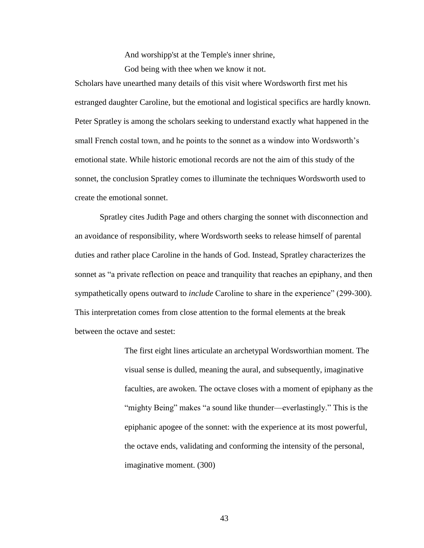And worshipp'st at the Temple's inner shrine,

God being with thee when we know it not.

Scholars have unearthed many details of this visit where Wordsworth first met his estranged daughter Caroline, but the emotional and logistical specifics are hardly known. Peter Spratley is among the scholars seeking to understand exactly what happened in the small French costal town, and he points to the sonnet as a window into Wordsworth's emotional state. While historic emotional records are not the aim of this study of the sonnet, the conclusion Spratley comes to illuminate the techniques Wordsworth used to create the emotional sonnet.

Spratley cites Judith Page and others charging the sonnet with disconnection and an avoidance of responsibility, where Wordsworth seeks to release himself of parental duties and rather place Caroline in the hands of God. Instead, Spratley characterizes the sonnet as "a private reflection on peace and tranquility that reaches an epiphany, and then sympathetically opens outward to *include* Caroline to share in the experience" (299-300). This interpretation comes from close attention to the formal elements at the break between the octave and sestet:

> The first eight lines articulate an archetypal Wordsworthian moment. The visual sense is dulled, meaning the aural, and subsequently, imaginative faculties, are awoken. The octave closes with a moment of epiphany as the "mighty Being" makes "a sound like thunder—everlastingly." This is the epiphanic apogee of the sonnet: with the experience at its most powerful, the octave ends, validating and conforming the intensity of the personal, imaginative moment. (300)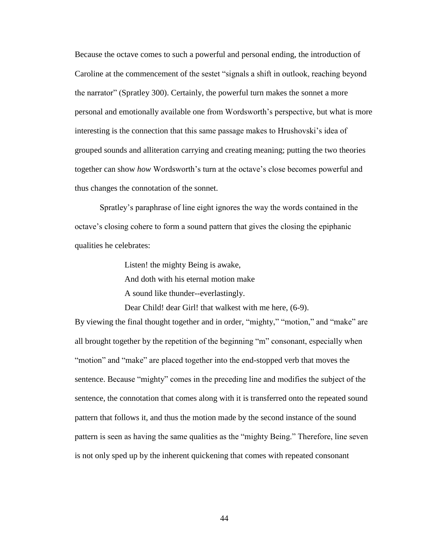Because the octave comes to such a powerful and personal ending, the introduction of Caroline at the commencement of the sestet "signals a shift in outlook, reaching beyond the narrator" (Spratley 300). Certainly, the powerful turn makes the sonnet a more personal and emotionally available one from Wordsworth's perspective, but what is more interesting is the connection that this same passage makes to Hrushovski's idea of grouped sounds and alliteration carrying and creating meaning; putting the two theories together can show *how* Wordsworth's turn at the octave's close becomes powerful and thus changes the connotation of the sonnet.

Spratley's paraphrase of line eight ignores the way the words contained in the octave's closing cohere to form a sound pattern that gives the closing the epiphanic qualities he celebrates:

Listen! the mighty Being is awake,

And doth with his eternal motion make

A sound like thunder--everlastingly.

Dear Child! dear Girl! that walkest with me here,  $(6-9)$ .

By viewing the final thought together and in order, "mighty," "motion," and "make" are all brought together by the repetition of the beginning "m" consonant, especially when "motion" and "make" are placed together into the end-stopped verb that moves the sentence. Because "mighty" comes in the preceding line and modifies the subject of the sentence, the connotation that comes along with it is transferred onto the repeated sound pattern that follows it, and thus the motion made by the second instance of the sound pattern is seen as having the same qualities as the "mighty Being." Therefore, line seven is not only sped up by the inherent quickening that comes with repeated consonant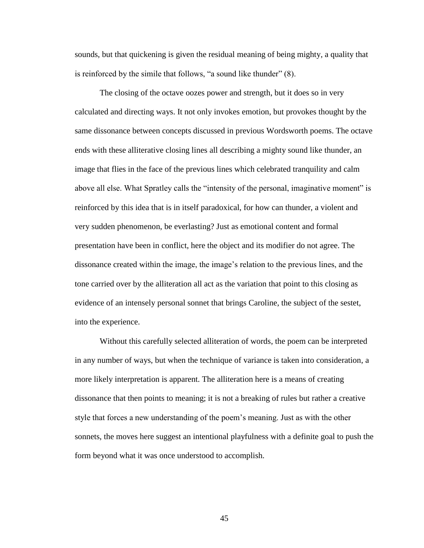sounds, but that quickening is given the residual meaning of being mighty, a quality that is reinforced by the simile that follows, "a sound like thunder" (8).

The closing of the octave oozes power and strength, but it does so in very calculated and directing ways. It not only invokes emotion, but provokes thought by the same dissonance between concepts discussed in previous Wordsworth poems. The octave ends with these alliterative closing lines all describing a mighty sound like thunder, an image that flies in the face of the previous lines which celebrated tranquility and calm above all else. What Spratley calls the "intensity of the personal, imaginative moment" is reinforced by this idea that is in itself paradoxical, for how can thunder, a violent and very sudden phenomenon, be everlasting? Just as emotional content and formal presentation have been in conflict, here the object and its modifier do not agree. The dissonance created within the image, the image's relation to the previous lines, and the tone carried over by the alliteration all act as the variation that point to this closing as evidence of an intensely personal sonnet that brings Caroline, the subject of the sestet, into the experience.

Without this carefully selected alliteration of words, the poem can be interpreted in any number of ways, but when the technique of variance is taken into consideration, a more likely interpretation is apparent. The alliteration here is a means of creating dissonance that then points to meaning; it is not a breaking of rules but rather a creative style that forces a new understanding of the poem's meaning. Just as with the other sonnets, the moves here suggest an intentional playfulness with a definite goal to push the form beyond what it was once understood to accomplish.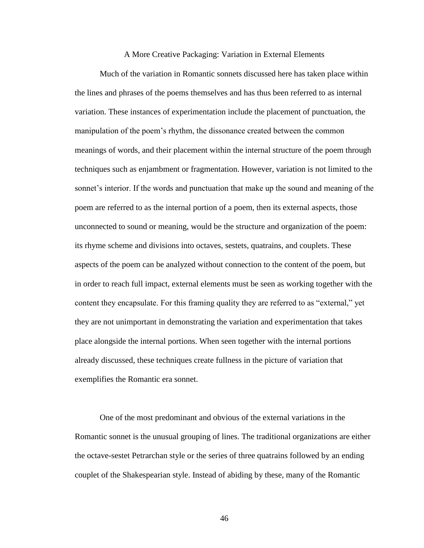## A More Creative Packaging: Variation in External Elements

Much of the variation in Romantic sonnets discussed here has taken place within the lines and phrases of the poems themselves and has thus been referred to as internal variation. These instances of experimentation include the placement of punctuation, the manipulation of the poem's rhythm, the dissonance created between the common meanings of words, and their placement within the internal structure of the poem through techniques such as enjambment or fragmentation. However, variation is not limited to the sonnet's interior. If the words and punctuation that make up the sound and meaning of the poem are referred to as the internal portion of a poem, then its external aspects, those unconnected to sound or meaning, would be the structure and organization of the poem: its rhyme scheme and divisions into octaves, sestets, quatrains, and couplets. These aspects of the poem can be analyzed without connection to the content of the poem, but in order to reach full impact, external elements must be seen as working together with the content they encapsulate. For this framing quality they are referred to as "external," yet they are not unimportant in demonstrating the variation and experimentation that takes place alongside the internal portions. When seen together with the internal portions already discussed, these techniques create fullness in the picture of variation that exemplifies the Romantic era sonnet.

One of the most predominant and obvious of the external variations in the Romantic sonnet is the unusual grouping of lines. The traditional organizations are either the octave-sestet Petrarchan style or the series of three quatrains followed by an ending couplet of the Shakespearian style. Instead of abiding by these, many of the Romantic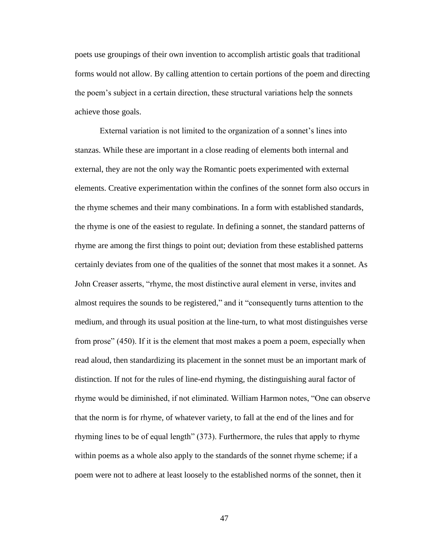poets use groupings of their own invention to accomplish artistic goals that traditional forms would not allow. By calling attention to certain portions of the poem and directing the poem's subject in a certain direction, these structural variations help the sonnets achieve those goals.

External variation is not limited to the organization of a sonnet's lines into stanzas. While these are important in a close reading of elements both internal and external, they are not the only way the Romantic poets experimented with external elements. Creative experimentation within the confines of the sonnet form also occurs in the rhyme schemes and their many combinations. In a form with established standards, the rhyme is one of the easiest to regulate. In defining a sonnet, the standard patterns of rhyme are among the first things to point out; deviation from these established patterns certainly deviates from one of the qualities of the sonnet that most makes it a sonnet. As John Creaser asserts, "rhyme, the most distinctive aural element in verse, invites and almost requires the sounds to be registered," and it "consequently turns attention to the medium, and through its usual position at the line-turn, to what most distinguishes verse from prose" (450). If it is the element that most makes a poem a poem, especially when read aloud, then standardizing its placement in the sonnet must be an important mark of distinction. If not for the rules of line-end rhyming, the distinguishing aural factor of rhyme would be diminished, if not eliminated. William Harmon notes, "One can observe that the norm is for rhyme, of whatever variety, to fall at the end of the lines and for rhyming lines to be of equal length" (373). Furthermore, the rules that apply to rhyme within poems as a whole also apply to the standards of the sonnet rhyme scheme; if a poem were not to adhere at least loosely to the established norms of the sonnet, then it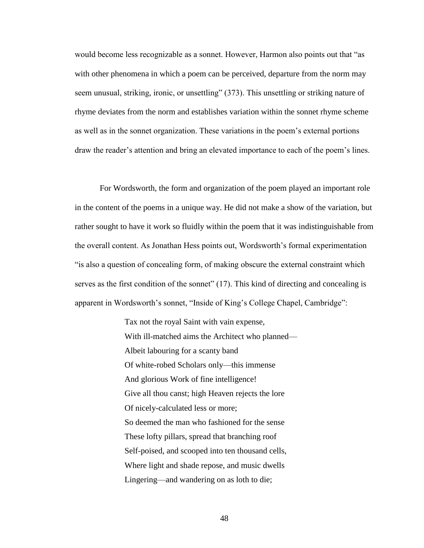would become less recognizable as a sonnet. However, Harmon also points out that "as with other phenomena in which a poem can be perceived, departure from the norm may seem unusual, striking, ironic, or unsettling" (373). This unsettling or striking nature of rhyme deviates from the norm and establishes variation within the sonnet rhyme scheme as well as in the sonnet organization. These variations in the poem's external portions draw the reader's attention and bring an elevated importance to each of the poem's lines.

For Wordsworth, the form and organization of the poem played an important role in the content of the poems in a unique way. He did not make a show of the variation, but rather sought to have it work so fluidly within the poem that it was indistinguishable from the overall content. As Jonathan Hess points out, Wordsworth's formal experimentation "is also a question of concealing form, of making obscure the external constraint which serves as the first condition of the sonnet" (17). This kind of directing and concealing is apparent in Wordsworth's sonnet, "Inside of King's College Chapel, Cambridge":

> Tax not the royal Saint with vain expense, With ill-matched aims the Architect who planned— Albeit labouring for a scanty band Of white-robed Scholars only—this immense And glorious Work of fine intelligence! Give all thou canst; high Heaven rejects the lore Of nicely-calculated less or more; So deemed the man who fashioned for the sense These lofty pillars, spread that branching roof Self-poised, and scooped into ten thousand cells, Where light and shade repose, and music dwells Lingering—and wandering on as loth to die;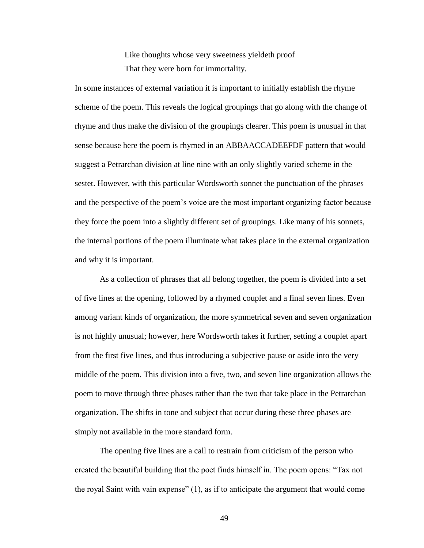Like thoughts whose very sweetness yieldeth proof That they were born for immortality.

In some instances of external variation it is important to initially establish the rhyme scheme of the poem. This reveals the logical groupings that go along with the change of rhyme and thus make the division of the groupings clearer. This poem is unusual in that sense because here the poem is rhymed in an ABBAACCADEEFDF pattern that would suggest a Petrarchan division at line nine with an only slightly varied scheme in the sestet. However, with this particular Wordsworth sonnet the punctuation of the phrases and the perspective of the poem's voice are the most important organizing factor because they force the poem into a slightly different set of groupings. Like many of his sonnets, the internal portions of the poem illuminate what takes place in the external organization and why it is important.

As a collection of phrases that all belong together, the poem is divided into a set of five lines at the opening, followed by a rhymed couplet and a final seven lines. Even among variant kinds of organization, the more symmetrical seven and seven organization is not highly unusual; however, here Wordsworth takes it further, setting a couplet apart from the first five lines, and thus introducing a subjective pause or aside into the very middle of the poem. This division into a five, two, and seven line organization allows the poem to move through three phases rather than the two that take place in the Petrarchan organization. The shifts in tone and subject that occur during these three phases are simply not available in the more standard form.

The opening five lines are a call to restrain from criticism of the person who created the beautiful building that the poet finds himself in. The poem opens: "Tax not the royal Saint with vain expense" (1), as if to anticipate the argument that would come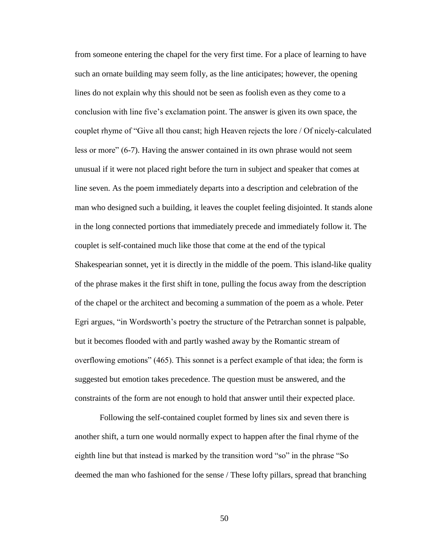from someone entering the chapel for the very first time. For a place of learning to have such an ornate building may seem folly, as the line anticipates; however, the opening lines do not explain why this should not be seen as foolish even as they come to a conclusion with line five's exclamation point. The answer is given its own space, the couplet rhyme of "Give all thou canst; high Heaven rejects the lore / Of nicely-calculated less or more" (6-7). Having the answer contained in its own phrase would not seem unusual if it were not placed right before the turn in subject and speaker that comes at line seven. As the poem immediately departs into a description and celebration of the man who designed such a building, it leaves the couplet feeling disjointed. It stands alone in the long connected portions that immediately precede and immediately follow it. The couplet is self-contained much like those that come at the end of the typical Shakespearian sonnet, yet it is directly in the middle of the poem. This island-like quality of the phrase makes it the first shift in tone, pulling the focus away from the description of the chapel or the architect and becoming a summation of the poem as a whole. Peter Egri argues, "in Wordsworth's poetry the structure of the Petrarchan sonnet is palpable, but it becomes flooded with and partly washed away by the Romantic stream of overflowing emotions" (465). This sonnet is a perfect example of that idea; the form is suggested but emotion takes precedence. The question must be answered, and the constraints of the form are not enough to hold that answer until their expected place.

Following the self-contained couplet formed by lines six and seven there is another shift, a turn one would normally expect to happen after the final rhyme of the eighth line but that instead is marked by the transition word "so" in the phrase "So deemed the man who fashioned for the sense / These lofty pillars, spread that branching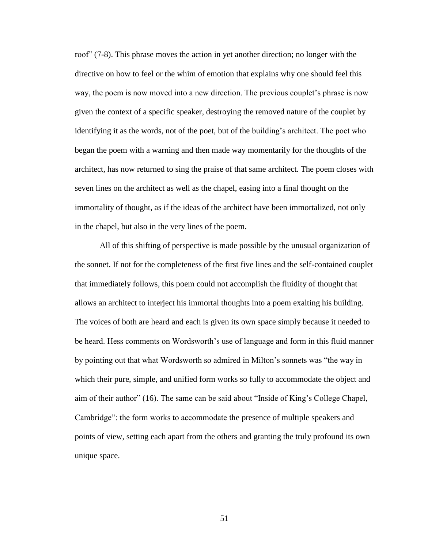roof" (7-8). This phrase moves the action in yet another direction; no longer with the directive on how to feel or the whim of emotion that explains why one should feel this way, the poem is now moved into a new direction. The previous couplet's phrase is now given the context of a specific speaker, destroying the removed nature of the couplet by identifying it as the words, not of the poet, but of the building's architect. The poet who began the poem with a warning and then made way momentarily for the thoughts of the architect, has now returned to sing the praise of that same architect. The poem closes with seven lines on the architect as well as the chapel, easing into a final thought on the immortality of thought, as if the ideas of the architect have been immortalized, not only in the chapel, but also in the very lines of the poem.

All of this shifting of perspective is made possible by the unusual organization of the sonnet. If not for the completeness of the first five lines and the self-contained couplet that immediately follows, this poem could not accomplish the fluidity of thought that allows an architect to interject his immortal thoughts into a poem exalting his building. The voices of both are heard and each is given its own space simply because it needed to be heard. Hess comments on Wordsworth's use of language and form in this fluid manner by pointing out that what Wordsworth so admired in Milton's sonnets was "the way in which their pure, simple, and unified form works so fully to accommodate the object and aim of their author" (16). The same can be said about "Inside of King's College Chapel, Cambridge": the form works to accommodate the presence of multiple speakers and points of view, setting each apart from the others and granting the truly profound its own unique space.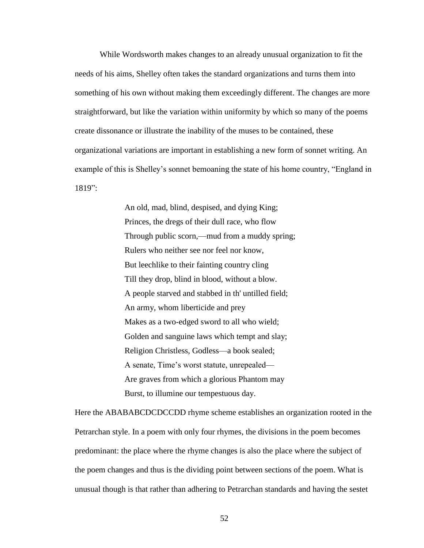While Wordsworth makes changes to an already unusual organization to fit the needs of his aims, Shelley often takes the standard organizations and turns them into something of his own without making them exceedingly different. The changes are more straightforward, but like the variation within uniformity by which so many of the poems create dissonance or illustrate the inability of the muses to be contained, these organizational variations are important in establishing a new form of sonnet writing. An example of this is Shelley's sonnet bemoaning the state of his home country, "England in 1819":

> An old, mad, blind, despised, and dying King; Princes, the dregs of their dull race, who flow Through public scorn,—mud from a muddy spring; Rulers who neither see nor feel nor know, But leechlike to their fainting country cling Till they drop, blind in blood, without a blow. A people starved and stabbed in th' untilled field; An army, whom liberticide and prey Makes as a two-edged sword to all who wield; Golden and sanguine laws which tempt and slay; Religion Christless, Godless—a book sealed; A senate, Time's worst statute, unrepealed— Are graves from which a glorious Phantom may Burst, to illumine our tempestuous day.

Here the ABABABCDCDCCDD rhyme scheme establishes an organization rooted in the Petrarchan style. In a poem with only four rhymes, the divisions in the poem becomes predominant: the place where the rhyme changes is also the place where the subject of the poem changes and thus is the dividing point between sections of the poem. What is unusual though is that rather than adhering to Petrarchan standards and having the sestet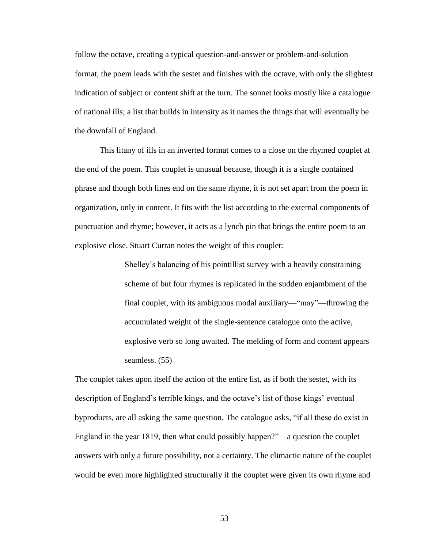follow the octave, creating a typical question-and-answer or problem-and-solution format, the poem leads with the sestet and finishes with the octave, with only the slightest indication of subject or content shift at the turn. The sonnet looks mostly like a catalogue of national ills; a list that builds in intensity as it names the things that will eventually be the downfall of England.

This litany of ills in an inverted format comes to a close on the rhymed couplet at the end of the poem. This couplet is unusual because, though it is a single contained phrase and though both lines end on the same rhyme, it is not set apart from the poem in organization, only in content. It fits with the list according to the external components of punctuation and rhyme; however, it acts as a lynch pin that brings the entire poem to an explosive close. Stuart Curran notes the weight of this couplet:

> Shelley's balancing of his pointillist survey with a heavily constraining scheme of but four rhymes is replicated in the sudden enjambment of the final couplet, with its ambiguous modal auxiliary—"may"—throwing the accumulated weight of the single-sentence catalogue onto the active, explosive verb so long awaited. The melding of form and content appears seamless. (55)

The couplet takes upon itself the action of the entire list, as if both the sestet, with its description of England's terrible kings, and the octave's list of those kings' eventual byproducts, are all asking the same question. The catalogue asks, "if all these do exist in England in the year 1819, then what could possibly happen?"—a question the couplet answers with only a future possibility, not a certainty. The climactic nature of the couplet would be even more highlighted structurally if the couplet were given its own rhyme and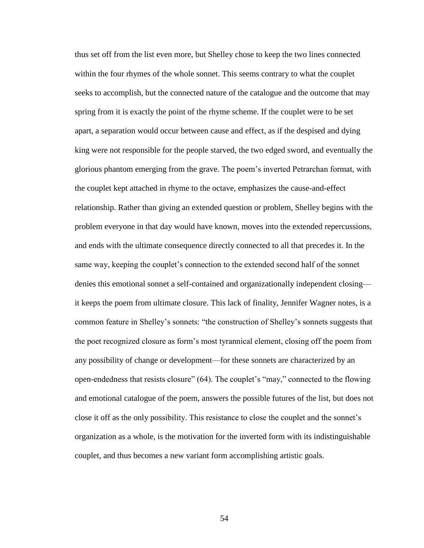thus set off from the list even more, but Shelley chose to keep the two lines connected within the four rhymes of the whole sonnet. This seems contrary to what the couplet seeks to accomplish, but the connected nature of the catalogue and the outcome that may spring from it is exactly the point of the rhyme scheme. If the couplet were to be set apart, a separation would occur between cause and effect, as if the despised and dying king were not responsible for the people starved, the two edged sword, and eventually the glorious phantom emerging from the grave. The poem's inverted Petrarchan format, with the couplet kept attached in rhyme to the octave, emphasizes the cause-and-effect relationship. Rather than giving an extended question or problem, Shelley begins with the problem everyone in that day would have known, moves into the extended repercussions, and ends with the ultimate consequence directly connected to all that precedes it. In the same way, keeping the couplet's connection to the extended second half of the sonnet denies this emotional sonnet a self-contained and organizationally independent closing it keeps the poem from ultimate closure. This lack of finality, Jennifer Wagner notes, is a common feature in Shelley's sonnets: "the construction of Shelley's sonnets suggests that the poet recognized closure as form's most tyrannical element, closing off the poem from any possibility of change or development—for these sonnets are characterized by an open-endedness that resists closure" (64). The couplet's "may," connected to the flowing and emotional catalogue of the poem, answers the possible futures of the list, but does not close it off as the only possibility. This resistance to close the couplet and the sonnet's organization as a whole, is the motivation for the inverted form with its indistinguishable couplet, and thus becomes a new variant form accomplishing artistic goals.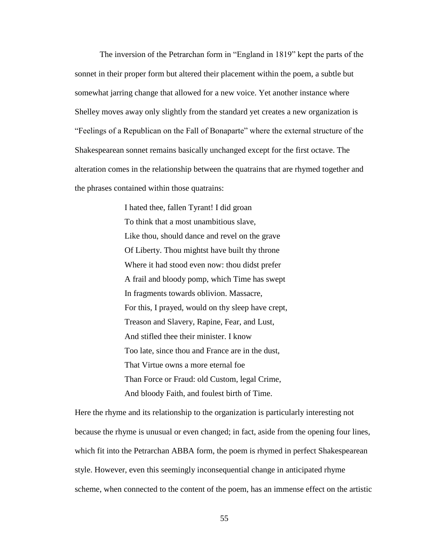The inversion of the Petrarchan form in "England in 1819" kept the parts of the sonnet in their proper form but altered their placement within the poem, a subtle but somewhat jarring change that allowed for a new voice. Yet another instance where Shelley moves away only slightly from the standard yet creates a new organization is "Feelings of a Republican on the Fall of Bonaparte" where the external structure of the Shakespearean sonnet remains basically unchanged except for the first octave. The alteration comes in the relationship between the quatrains that are rhymed together and the phrases contained within those quatrains:

> I hated thee, fallen Tyrant! I did groan To think that a most unambitious slave, Like thou, should dance and revel on the grave Of Liberty. Thou mightst have built thy throne Where it had stood even now: thou didst prefer A frail and bloody pomp, which Time has swept In fragments towards oblivion. Massacre, For this, I prayed, would on thy sleep have crept, Treason and Slavery, Rapine, Fear, and Lust, And stifled thee their minister. I know Too late, since thou and France are in the dust, That Virtue owns a more eternal foe Than Force or Fraud: old Custom, legal Crime, And bloody Faith, and foulest birth of Time.

Here the rhyme and its relationship to the organization is particularly interesting not because the rhyme is unusual or even changed; in fact, aside from the opening four lines, which fit into the Petrarchan ABBA form, the poem is rhymed in perfect Shakespearean style. However, even this seemingly inconsequential change in anticipated rhyme scheme, when connected to the content of the poem, has an immense effect on the artistic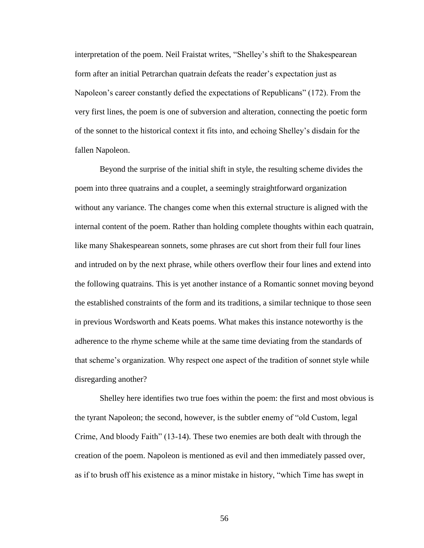interpretation of the poem. Neil Fraistat writes, "Shelley's shift to the Shakespearean form after an initial Petrarchan quatrain defeats the reader's expectation just as Napoleon's career constantly defied the expectations of Republicans" (172). From the very first lines, the poem is one of subversion and alteration, connecting the poetic form of the sonnet to the historical context it fits into, and echoing Shelley's disdain for the fallen Napoleon.

Beyond the surprise of the initial shift in style, the resulting scheme divides the poem into three quatrains and a couplet, a seemingly straightforward organization without any variance. The changes come when this external structure is aligned with the internal content of the poem. Rather than holding complete thoughts within each quatrain, like many Shakespearean sonnets, some phrases are cut short from their full four lines and intruded on by the next phrase, while others overflow their four lines and extend into the following quatrains. This is yet another instance of a Romantic sonnet moving beyond the established constraints of the form and its traditions, a similar technique to those seen in previous Wordsworth and Keats poems. What makes this instance noteworthy is the adherence to the rhyme scheme while at the same time deviating from the standards of that scheme's organization. Why respect one aspect of the tradition of sonnet style while disregarding another?

Shelley here identifies two true foes within the poem: the first and most obvious is the tyrant Napoleon; the second, however, is the subtler enemy of "old Custom, legal Crime, And bloody Faith" (13-14). These two enemies are both dealt with through the creation of the poem. Napoleon is mentioned as evil and then immediately passed over, as if to brush off his existence as a minor mistake in history, "which Time has swept in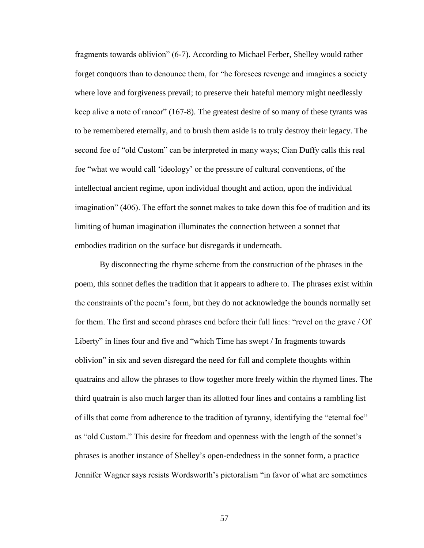fragments towards oblivion" (6-7). According to Michael Ferber, Shelley would rather forget conquors than to denounce them, for "he foresees revenge and imagines a society where love and forgiveness prevail; to preserve their hateful memory might needlessly keep alive a note of rancor" (167-8). The greatest desire of so many of these tyrants was to be remembered eternally, and to brush them aside is to truly destroy their legacy. The second foe of "old Custom" can be interpreted in many ways; Cian Duffy calls this real foe "what we would call 'ideology' or the pressure of cultural conventions, of the intellectual ancient regime, upon individual thought and action, upon the individual imagination" (406). The effort the sonnet makes to take down this foe of tradition and its limiting of human imagination illuminates the connection between a sonnet that embodies tradition on the surface but disregards it underneath.

By disconnecting the rhyme scheme from the construction of the phrases in the poem, this sonnet defies the tradition that it appears to adhere to. The phrases exist within the constraints of the poem's form, but they do not acknowledge the bounds normally set for them. The first and second phrases end before their full lines: "revel on the grave / Of Liberty" in lines four and five and "which Time has swept / In fragments towards oblivion" in six and seven disregard the need for full and complete thoughts within quatrains and allow the phrases to flow together more freely within the rhymed lines. The third quatrain is also much larger than its allotted four lines and contains a rambling list of ills that come from adherence to the tradition of tyranny, identifying the "eternal foe" as "old Custom." This desire for freedom and openness with the length of the sonnet's phrases is another instance of Shelley's open-endedness in the sonnet form, a practice Jennifer Wagner says resists Wordsworth's pictoralism "in favor of what are sometimes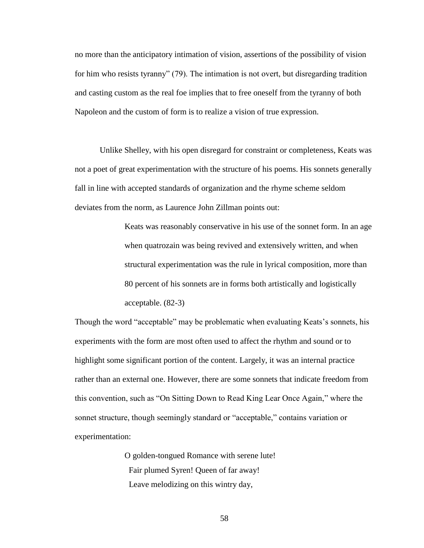no more than the anticipatory intimation of vision, assertions of the possibility of vision for him who resists tyranny" (79). The intimation is not overt, but disregarding tradition and casting custom as the real foe implies that to free oneself from the tyranny of both Napoleon and the custom of form is to realize a vision of true expression.

Unlike Shelley, with his open disregard for constraint or completeness, Keats was not a poet of great experimentation with the structure of his poems. His sonnets generally fall in line with accepted standards of organization and the rhyme scheme seldom deviates from the norm, as Laurence John Zillman points out:

> Keats was reasonably conservative in his use of the sonnet form. In an age when quatrozain was being revived and extensively written, and when structural experimentation was the rule in lyrical composition, more than 80 percent of his sonnets are in forms both artistically and logistically acceptable. (82-3)

Though the word "acceptable" may be problematic when evaluating Keats's sonnets, his experiments with the form are most often used to affect the rhythm and sound or to highlight some significant portion of the content. Largely, it was an internal practice rather than an external one. However, there are some sonnets that indicate freedom from this convention, such as "On Sitting Down to Read King Lear Once Again," where the sonnet structure, though seemingly standard or "acceptable," contains variation or experimentation:

> O golden-tongued Romance with serene lute! Fair plumed Syren! Queen of far away! Leave melodizing on this wintry day,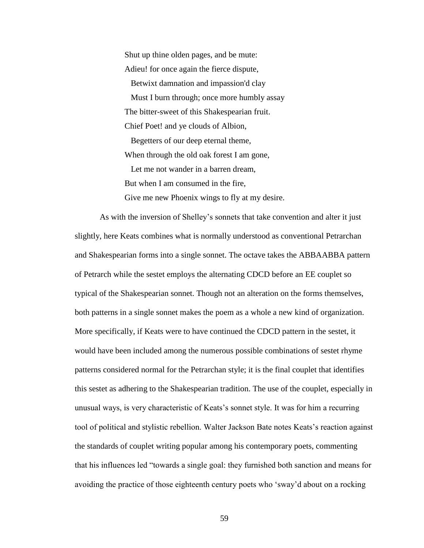Shut up thine olden pages, and be mute: Adieu! for once again the fierce dispute, Betwixt damnation and impassion'd clay Must I burn through; once more humbly assay The bitter-sweet of this Shakespearian fruit. Chief Poet! and ye clouds of Albion, Begetters of our deep eternal theme, When through the old oak forest I am gone, Let me not wander in a barren dream, But when I am consumed in the fire, Give me new Phoenix wings to fly at my desire.

As with the inversion of Shelley's sonnets that take convention and alter it just slightly, here Keats combines what is normally understood as conventional Petrarchan and Shakespearian forms into a single sonnet. The octave takes the ABBAABBA pattern of Petrarch while the sestet employs the alternating CDCD before an EE couplet so typical of the Shakespearian sonnet. Though not an alteration on the forms themselves, both patterns in a single sonnet makes the poem as a whole a new kind of organization. More specifically, if Keats were to have continued the CDCD pattern in the sestet, it would have been included among the numerous possible combinations of sestet rhyme patterns considered normal for the Petrarchan style; it is the final couplet that identifies this sestet as adhering to the Shakespearian tradition. The use of the couplet, especially in unusual ways, is very characteristic of Keats's sonnet style. It was for him a recurring tool of political and stylistic rebellion. Walter Jackson Bate notes Keats's reaction against the standards of couplet writing popular among his contemporary poets, commenting that his influences led "towards a single goal: they furnished both sanction and means for avoiding the practice of those eighteenth century poets who 'sway'd about on a rocking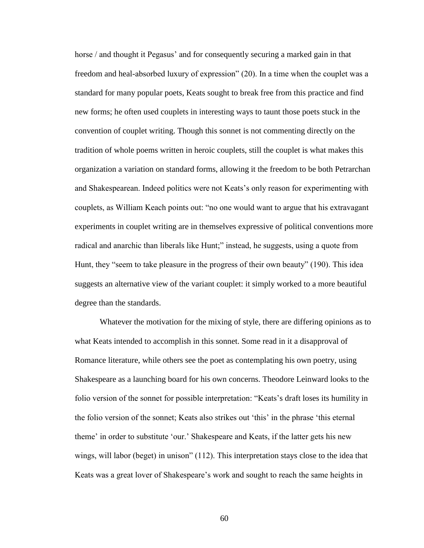horse / and thought it Pegasus' and for consequently securing a marked gain in that freedom and heal-absorbed luxury of expression" (20). In a time when the couplet was a standard for many popular poets, Keats sought to break free from this practice and find new forms; he often used couplets in interesting ways to taunt those poets stuck in the convention of couplet writing. Though this sonnet is not commenting directly on the tradition of whole poems written in heroic couplets, still the couplet is what makes this organization a variation on standard forms, allowing it the freedom to be both Petrarchan and Shakespearean. Indeed politics were not Keats's only reason for experimenting with couplets, as William Keach points out: "no one would want to argue that his extravagant experiments in couplet writing are in themselves expressive of political conventions more radical and anarchic than liberals like Hunt;" instead, he suggests, using a quote from Hunt, they "seem to take pleasure in the progress of their own beauty" (190). This idea suggests an alternative view of the variant couplet: it simply worked to a more beautiful degree than the standards.

Whatever the motivation for the mixing of style, there are differing opinions as to what Keats intended to accomplish in this sonnet. Some read in it a disapproval of Romance literature, while others see the poet as contemplating his own poetry, using Shakespeare as a launching board for his own concerns. Theodore Leinward looks to the folio version of the sonnet for possible interpretation: "Keats's draft loses its humility in the folio version of the sonnet; Keats also strikes out 'this' in the phrase 'this eternal theme' in order to substitute 'our.' Shakespeare and Keats, if the latter gets his new wings, will labor (beget) in unison" (112). This interpretation stays close to the idea that Keats was a great lover of Shakespeare's work and sought to reach the same heights in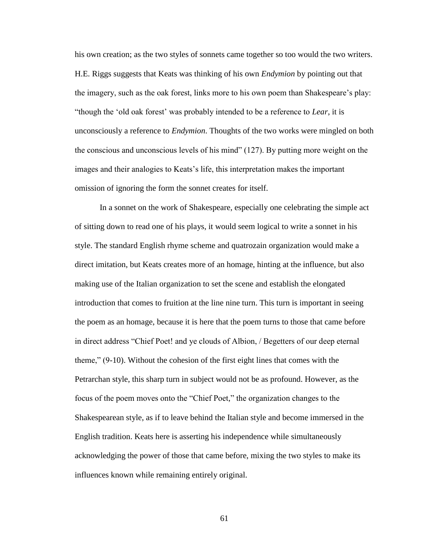his own creation; as the two styles of sonnets came together so too would the two writers. H.E. Riggs suggests that Keats was thinking of his own *Endymion* by pointing out that the imagery, such as the oak forest, links more to his own poem than Shakespeare's play: "though the 'old oak forest' was probably intended to be a reference to *Lear*, it is unconsciously a reference to *Endymion*. Thoughts of the two works were mingled on both the conscious and unconscious levels of his mind" (127). By putting more weight on the images and their analogies to Keats's life, this interpretation makes the important omission of ignoring the form the sonnet creates for itself.

In a sonnet on the work of Shakespeare, especially one celebrating the simple act of sitting down to read one of his plays, it would seem logical to write a sonnet in his style. The standard English rhyme scheme and quatrozain organization would make a direct imitation, but Keats creates more of an homage, hinting at the influence, but also making use of the Italian organization to set the scene and establish the elongated introduction that comes to fruition at the line nine turn. This turn is important in seeing the poem as an homage, because it is here that the poem turns to those that came before in direct address "Chief Poet! and ye clouds of Albion, / Begetters of our deep eternal theme," (9-10). Without the cohesion of the first eight lines that comes with the Petrarchan style, this sharp turn in subject would not be as profound. However, as the focus of the poem moves onto the "Chief Poet," the organization changes to the Shakespearean style, as if to leave behind the Italian style and become immersed in the English tradition. Keats here is asserting his independence while simultaneously acknowledging the power of those that came before, mixing the two styles to make its influences known while remaining entirely original.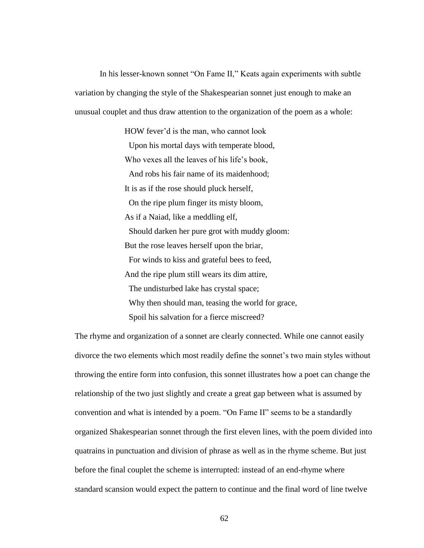In his lesser-known sonnet "On Fame II," Keats again experiments with subtle variation by changing the style of the Shakespearian sonnet just enough to make an unusual couplet and thus draw attention to the organization of the poem as a whole:

> HOW fever'd is the man, who cannot look Upon his mortal days with temperate blood, Who vexes all the leaves of his life's book, And robs his fair name of its maidenhood; It is as if the rose should pluck herself, On the ripe plum finger its misty bloom, As if a Naiad, like a meddling elf, Should darken her pure grot with muddy gloom: But the rose leaves herself upon the briar, For winds to kiss and grateful bees to feed, And the ripe plum still wears its dim attire, The undisturbed lake has crystal space; Why then should man, teasing the world for grace, Spoil his salvation for a fierce miscreed?

The rhyme and organization of a sonnet are clearly connected. While one cannot easily divorce the two elements which most readily define the sonnet's two main styles without throwing the entire form into confusion, this sonnet illustrates how a poet can change the relationship of the two just slightly and create a great gap between what is assumed by convention and what is intended by a poem. "On Fame II" seems to be a standardly organized Shakespearian sonnet through the first eleven lines, with the poem divided into quatrains in punctuation and division of phrase as well as in the rhyme scheme. But just before the final couplet the scheme is interrupted: instead of an end-rhyme where standard scansion would expect the pattern to continue and the final word of line twelve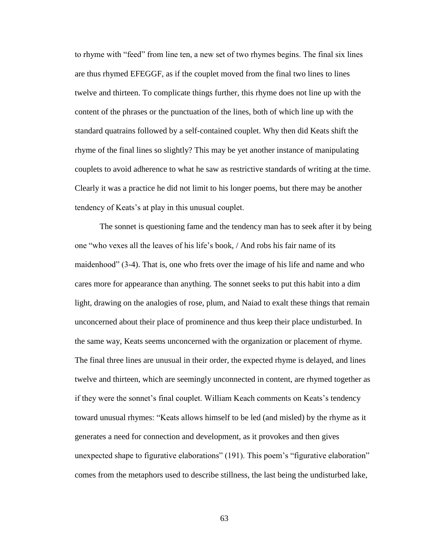to rhyme with "feed" from line ten, a new set of two rhymes begins. The final six lines are thus rhymed EFEGGF, as if the couplet moved from the final two lines to lines twelve and thirteen. To complicate things further, this rhyme does not line up with the content of the phrases or the punctuation of the lines, both of which line up with the standard quatrains followed by a self-contained couplet. Why then did Keats shift the rhyme of the final lines so slightly? This may be yet another instance of manipulating couplets to avoid adherence to what he saw as restrictive standards of writing at the time. Clearly it was a practice he did not limit to his longer poems, but there may be another tendency of Keats's at play in this unusual couplet.

The sonnet is questioning fame and the tendency man has to seek after it by being one "who vexes all the leaves of his life's book, / And robs his fair name of its maidenhood" (3-4). That is, one who frets over the image of his life and name and who cares more for appearance than anything. The sonnet seeks to put this habit into a dim light, drawing on the analogies of rose, plum, and Naiad to exalt these things that remain unconcerned about their place of prominence and thus keep their place undisturbed. In the same way, Keats seems unconcerned with the organization or placement of rhyme. The final three lines are unusual in their order, the expected rhyme is delayed, and lines twelve and thirteen, which are seemingly unconnected in content, are rhymed together as if they were the sonnet's final couplet. William Keach comments on Keats's tendency toward unusual rhymes: "Keats allows himself to be led (and misled) by the rhyme as it generates a need for connection and development, as it provokes and then gives unexpected shape to figurative elaborations" (191). This poem's "figurative elaboration" comes from the metaphors used to describe stillness, the last being the undisturbed lake,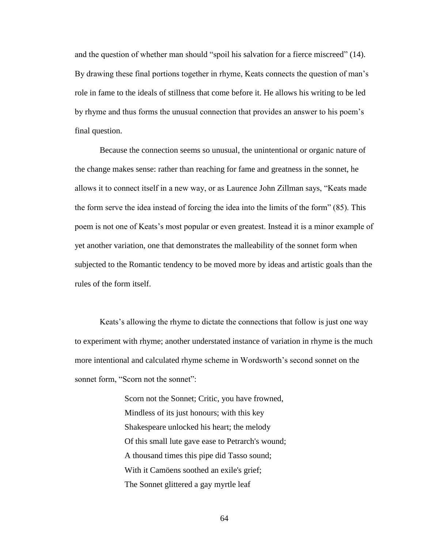and the question of whether man should "spoil his salvation for a fierce miscreed" (14). By drawing these final portions together in rhyme, Keats connects the question of man's role in fame to the ideals of stillness that come before it. He allows his writing to be led by rhyme and thus forms the unusual connection that provides an answer to his poem's final question.

Because the connection seems so unusual, the unintentional or organic nature of the change makes sense: rather than reaching for fame and greatness in the sonnet, he allows it to connect itself in a new way, or as Laurence John Zillman says, "Keats made the form serve the idea instead of forcing the idea into the limits of the form" (85). This poem is not one of Keats's most popular or even greatest. Instead it is a minor example of yet another variation, one that demonstrates the malleability of the sonnet form when subjected to the Romantic tendency to be moved more by ideas and artistic goals than the rules of the form itself.

Keats's allowing the rhyme to dictate the connections that follow is just one way to experiment with rhyme; another understated instance of variation in rhyme is the much more intentional and calculated rhyme scheme in Wordsworth's second sonnet on the sonnet form, "Scorn not the sonnet":

> Scorn not the Sonnet; Critic, you have frowned, Mindless of its just honours; with this key Shakespeare unlocked his heart; the melody Of this small lute gave ease to Petrarch's wound; A thousand times this pipe did Tasso sound; With it Camöens soothed an exile's grief; The Sonnet glittered a gay myrtle leaf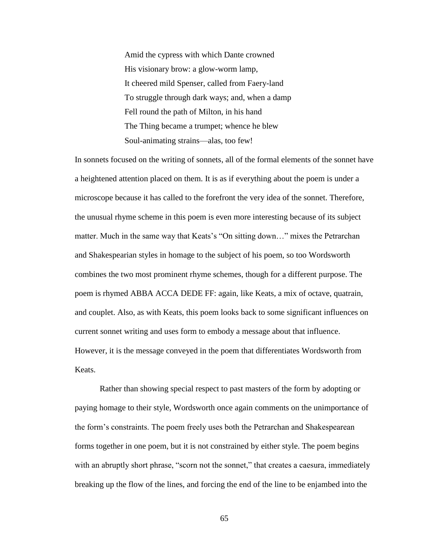Amid the cypress with which Dante crowned His visionary brow: a glow-worm lamp, It cheered mild Spenser, called from Faery-land To struggle through dark ways; and, when a damp Fell round the path of Milton, in his hand The Thing became a trumpet; whence he blew Soul-animating strains—alas, too few!

In sonnets focused on the writing of sonnets, all of the formal elements of the sonnet have a heightened attention placed on them. It is as if everything about the poem is under a microscope because it has called to the forefront the very idea of the sonnet. Therefore, the unusual rhyme scheme in this poem is even more interesting because of its subject matter. Much in the same way that Keats's "On sitting down…" mixes the Petrarchan and Shakespearian styles in homage to the subject of his poem, so too Wordsworth combines the two most prominent rhyme schemes, though for a different purpose. The poem is rhymed ABBA ACCA DEDE FF: again, like Keats, a mix of octave, quatrain, and couplet. Also, as with Keats, this poem looks back to some significant influences on current sonnet writing and uses form to embody a message about that influence. However, it is the message conveyed in the poem that differentiates Wordsworth from Keats.

Rather than showing special respect to past masters of the form by adopting or paying homage to their style, Wordsworth once again comments on the unimportance of the form's constraints. The poem freely uses both the Petrarchan and Shakespearean forms together in one poem, but it is not constrained by either style. The poem begins with an abruptly short phrase, "scorn not the sonnet," that creates a caesura, immediately breaking up the flow of the lines, and forcing the end of the line to be enjambed into the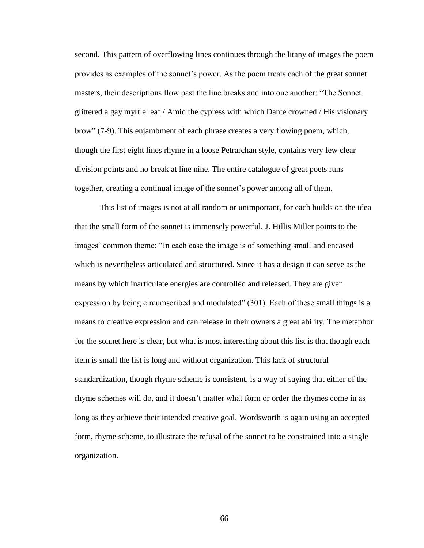second. This pattern of overflowing lines continues through the litany of images the poem provides as examples of the sonnet's power. As the poem treats each of the great sonnet masters, their descriptions flow past the line breaks and into one another: "The Sonnet glittered a gay myrtle leaf / Amid the cypress with which Dante crowned / His visionary brow" (7-9). This enjambment of each phrase creates a very flowing poem, which, though the first eight lines rhyme in a loose Petrarchan style, contains very few clear division points and no break at line nine. The entire catalogue of great poets runs together, creating a continual image of the sonnet's power among all of them.

This list of images is not at all random or unimportant, for each builds on the idea that the small form of the sonnet is immensely powerful. J. Hillis Miller points to the images' common theme: "In each case the image is of something small and encased which is nevertheless articulated and structured. Since it has a design it can serve as the means by which inarticulate energies are controlled and released. They are given expression by being circumscribed and modulated" (301). Each of these small things is a means to creative expression and can release in their owners a great ability. The metaphor for the sonnet here is clear, but what is most interesting about this list is that though each item is small the list is long and without organization. This lack of structural standardization, though rhyme scheme is consistent, is a way of saying that either of the rhyme schemes will do, and it doesn't matter what form or order the rhymes come in as long as they achieve their intended creative goal. Wordsworth is again using an accepted form, rhyme scheme, to illustrate the refusal of the sonnet to be constrained into a single organization.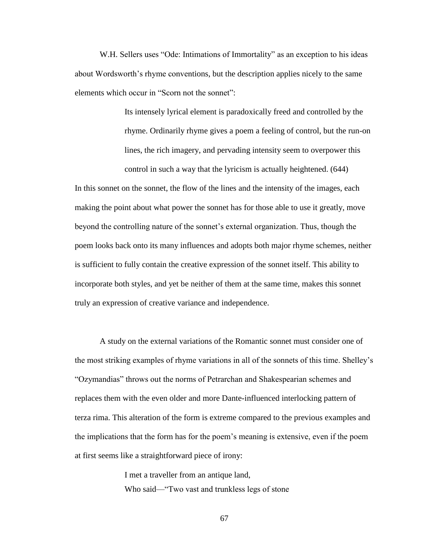W.H. Sellers uses "Ode: Intimations of Immortality" as an exception to his ideas about Wordsworth's rhyme conventions, but the description applies nicely to the same elements which occur in "Scorn not the sonnet":

> Its intensely lyrical element is paradoxically freed and controlled by the rhyme. Ordinarily rhyme gives a poem a feeling of control, but the run-on lines, the rich imagery, and pervading intensity seem to overpower this control in such a way that the lyricism is actually heightened. (644)

In this sonnet on the sonnet, the flow of the lines and the intensity of the images, each making the point about what power the sonnet has for those able to use it greatly, move beyond the controlling nature of the sonnet's external organization. Thus, though the poem looks back onto its many influences and adopts both major rhyme schemes, neither is sufficient to fully contain the creative expression of the sonnet itself. This ability to incorporate both styles, and yet be neither of them at the same time, makes this sonnet truly an expression of creative variance and independence.

A study on the external variations of the Romantic sonnet must consider one of the most striking examples of rhyme variations in all of the sonnets of this time. Shelley's "Ozymandias" throws out the norms of Petrarchan and Shakespearian schemes and replaces them with the even older and more Dante-influenced interlocking pattern of terza rima. This alteration of the form is extreme compared to the previous examples and the implications that the form has for the poem's meaning is extensive, even if the poem at first seems like a straightforward piece of irony:

> I met a traveller from an antique land, Who said—"Two vast and trunkless legs of stone

> > 67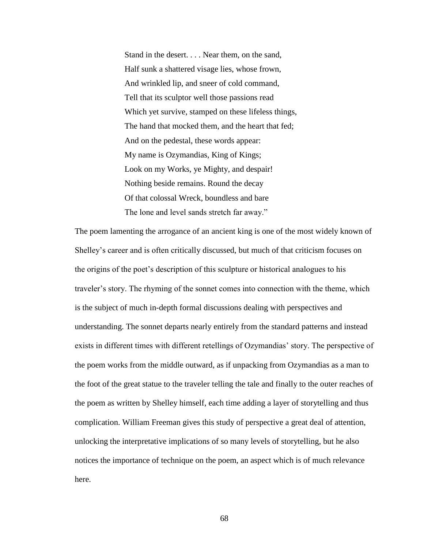Stand in the desert. . . . Near them, on the sand, Half sunk a shattered visage lies, whose frown, And wrinkled lip, and sneer of cold command, Tell that its sculptor well those passions read Which yet survive, stamped on these lifeless things, The hand that mocked them, and the heart that fed; And on the pedestal, these words appear: My name is Ozymandias, King of Kings; Look on my Works, ye Mighty, and despair! Nothing beside remains. Round the decay Of that colossal Wreck, boundless and bare The lone and level sands stretch far away."

The poem lamenting the arrogance of an ancient king is one of the most widely known of Shelley's career and is often critically discussed, but much of that criticism focuses on the origins of the poet's description of this sculpture or historical analogues to his traveler's story. The rhyming of the sonnet comes into connection with the theme, which is the subject of much in-depth formal discussions dealing with perspectives and understanding. The sonnet departs nearly entirely from the standard patterns and instead exists in different times with different retellings of Ozymandias' story. The perspective of the poem works from the middle outward, as if unpacking from Ozymandias as a man to the foot of the great statue to the traveler telling the tale and finally to the outer reaches of the poem as written by Shelley himself, each time adding a layer of storytelling and thus complication. William Freeman gives this study of perspective a great deal of attention, unlocking the interpretative implications of so many levels of storytelling, but he also notices the importance of technique on the poem, an aspect which is of much relevance here.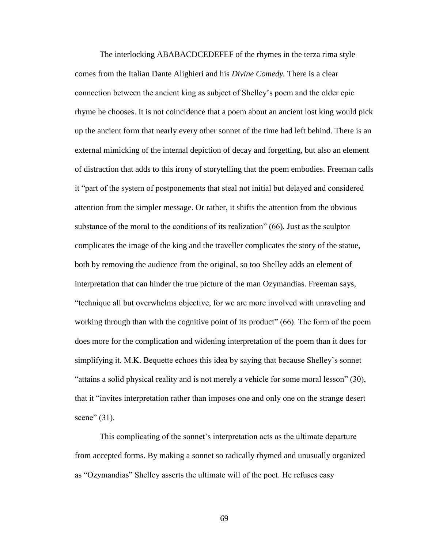The interlocking ABABACDCEDEFEF of the rhymes in the terza rima style comes from the Italian Dante Alighieri and his *Divine Comedy.* There is a clear connection between the ancient king as subject of Shelley's poem and the older epic rhyme he chooses. It is not coincidence that a poem about an ancient lost king would pick up the ancient form that nearly every other sonnet of the time had left behind. There is an external mimicking of the internal depiction of decay and forgetting, but also an element of distraction that adds to this irony of storytelling that the poem embodies. Freeman calls it "part of the system of postponements that steal not initial but delayed and considered attention from the simpler message. Or rather, it shifts the attention from the obvious substance of the moral to the conditions of its realization" (66). Just as the sculptor complicates the image of the king and the traveller complicates the story of the statue, both by removing the audience from the original, so too Shelley adds an element of interpretation that can hinder the true picture of the man Ozymandias. Freeman says, "technique all but overwhelms objective, for we are more involved with unraveling and working through than with the cognitive point of its product" (66). The form of the poem does more for the complication and widening interpretation of the poem than it does for simplifying it. M.K. Bequette echoes this idea by saying that because Shelley's sonnet "attains a solid physical reality and is not merely a vehicle for some moral lesson" (30), that it "invites interpretation rather than imposes one and only one on the strange desert scene" (31).

This complicating of the sonnet's interpretation acts as the ultimate departure from accepted forms. By making a sonnet so radically rhymed and unusually organized as "Ozymandias" Shelley asserts the ultimate will of the poet. He refuses easy

69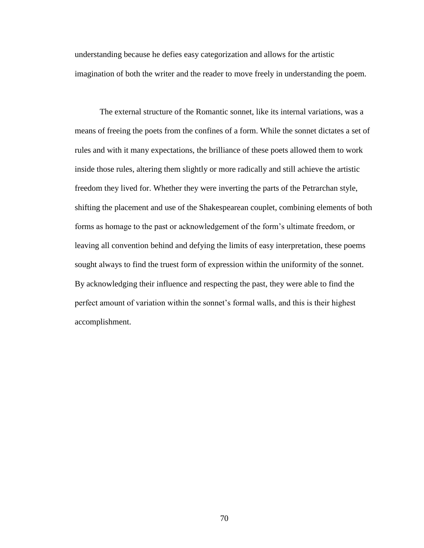understanding because he defies easy categorization and allows for the artistic imagination of both the writer and the reader to move freely in understanding the poem.

The external structure of the Romantic sonnet, like its internal variations, was a means of freeing the poets from the confines of a form. While the sonnet dictates a set of rules and with it many expectations, the brilliance of these poets allowed them to work inside those rules, altering them slightly or more radically and still achieve the artistic freedom they lived for. Whether they were inverting the parts of the Petrarchan style, shifting the placement and use of the Shakespearean couplet, combining elements of both forms as homage to the past or acknowledgement of the form's ultimate freedom, or leaving all convention behind and defying the limits of easy interpretation, these poems sought always to find the truest form of expression within the uniformity of the sonnet. By acknowledging their influence and respecting the past, they were able to find the perfect amount of variation within the sonnet's formal walls, and this is their highest accomplishment.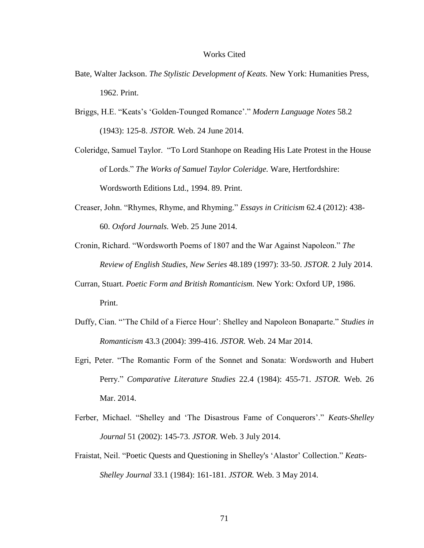## Works Cited

- Bate, Walter Jackson. *The Stylistic Development of Keats.* New York: Humanities Press, 1962. Print.
- Briggs, H.E. "Keats's 'Golden-Tounged Romance'." *Modern Language Notes* 58.2 (1943): 125-8. *JSTOR.* Web. 24 June 2014.
- Coleridge, Samuel Taylor. "To Lord Stanhope on Reading His Late Protest in the House of Lords." *The Works of Samuel Taylor Coleridge.* Ware, Hertfordshire: Wordsworth Editions Ltd., 1994. 89. Print.
- Creaser, John. "Rhymes, Rhyme, and Rhyming." *Essays in Criticism* 62.4 (2012): 438- 60. *Oxford Journals.* Web. 25 June 2014.
- Cronin, Richard. "Wordsworth Poems of 1807 and the War Against Napoleon." *The Review of English Studies, New Series* 48.189 (1997): 33-50. *JSTOR.* 2 July 2014.
- Curran, Stuart. *Poetic Form and British Romanticism.* New York: Oxford UP, 1986. Print.
- Duffy, Cian. "'The Child of a Fierce Hour': Shelley and Napoleon Bonaparte." *Studies in Romanticism* 43.3 (2004): 399-416. *JSTOR.* Web. 24 Mar 2014.
- Egri, Peter. "The Romantic Form of the Sonnet and Sonata: Wordsworth and Hubert Perry." *Comparative Literature Studies* 22.4 (1984): 455-71. *JSTOR.* Web. 26 Mar. 2014.
- Ferber, Michael. "Shelley and 'The Disastrous Fame of Conquerors'." *Keats-Shelley Journal* 51 (2002): 145-73. *JSTOR.* Web. 3 July 2014.
- Fraistat, Neil. "Poetic Quests and Questioning in Shelley's 'Alastor' Collection." *Keats-Shelley Journal* 33.1 (1984): 161-181. *JSTOR.* Web. 3 May 2014.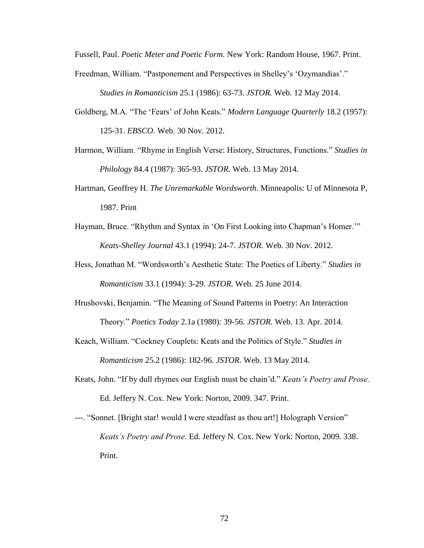Fussell, Paul. *Poetic Meter and Poetic Form.* New York: Random House, 1967. Print.

Freedman, William. "Pastponement and Perspectives in Shelley's 'Ozymandias'."

*Studies in Romanticism* 25.1 (1986): 63-73. *JSTOR.* Web. 12 May 2014.

- Goldberg, M.A. "The 'Fears' of John Keats." *Modern Language Quarterly* 18.2 (1957): 125-31. *EBSCO.* Web. 30 Nov. 2012.
- Harmon, William. "Rhyme in English Verse: History, Structures, Functions." *Studies in Philology* 84.4 (1987): 365-93. *JSTOR.* Web. 13 May 2014.
- Hartman, Geoffrey H. *The Unremarkable Wordsworth*. Minneapolis: U of Minnesota P, 1987. Print
- Hayman, Bruce. "Rhythm and Syntax in 'On First Looking into Chapman's Homer.'" *Keats-Shelley Journal* 43.1 (1994): 24-7. *JSTOR.* Web. 30 Nov. 2012.
- Hess, Jonathan M. "Wordsworth's Aesthetic State: The Poetics of Liberty." *Studies in Romanticism* 33.1 (1994): 3-29. *JSTOR.* Web. 25 June 2014.
- Hrushovski, Benjamin. "The Meaning of Sound Patterns in Poetry: An Interaction Theory." *Poetics Today* 2.1a (1980): 39-56. *JSTOR.* Web. 13. Apr. 2014.
- Keach, William. "Cockney Couplets: Keats and the Politics of Style." *Studies in Romanticism* 25.2 (1986): 182-96. *JSTOR.* Web. 13 May 2014.
- Keats, John. "If by dull rhymes our English must be chain'd." *Keats's Poetry and Prose.*  Ed. Jeffery N. Cox. New York: Norton, 2009. 347. Print.
- ---. "Sonnet. [Bright star! would I were steadfast as thou art!] Holograph Version" *Keats's Poetry and Prose.* Ed. Jeffery N. Cox. New York: Norton, 2009. 338. Print.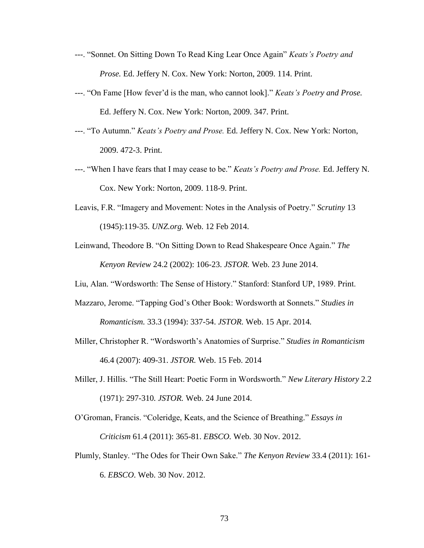- ---. "Sonnet. On Sitting Down To Read King Lear Once Again" *Keats's Poetry and Prose.* Ed. Jeffery N. Cox. New York: Norton, 2009. 114. Print.
- ---. "On Fame [How fever'd is the man, who cannot look]." *Keats's Poetry and Prose.*  Ed. Jeffery N. Cox. New York: Norton, 2009. 347. Print.
- ---. "To Autumn." *Keats's Poetry and Prose.* Ed. Jeffery N. Cox. New York: Norton, 2009. 472-3. Print.
- ---. "When I have fears that I may cease to be." *Keats's Poetry and Prose.* Ed. Jeffery N. Cox. New York: Norton, 2009. 118-9. Print.
- Leavis, F.R. "Imagery and Movement: Notes in the Analysis of Poetry." *Scrutiny* 13 (1945):119-35. *UNZ.org.* Web. 12 Feb 2014.
- Leinwand, Theodore B. "On Sitting Down to Read Shakespeare Once Again." *The Kenyon Review* 24.2 (2002): 106-23. *JSTOR.* Web. 23 June 2014.
- Liu, Alan. "Wordsworth: The Sense of History." Stanford: Stanford UP, 1989. Print.
- Mazzaro, Jerome. "Tapping God's Other Book: Wordsworth at Sonnets." *Studies in Romanticism.* 33.3 (1994): 337-54. *JSTOR.* Web. 15 Apr. 2014*.*
- Miller, Christopher R. "Wordsworth's Anatomies of Surprise." *Studies in Romanticism*  46.4 (2007): 409-31. *JSTOR.* Web. 15 Feb. 2014
- Miller, J. Hillis. "The Still Heart: Poetic Form in Wordsworth." *New Literary History* 2.2 (1971): 297-310*. JSTOR.* Web. 24 June 2014.
- O'Groman, Francis. "Coleridge, Keats, and the Science of Breathing." *Essays in Criticism* 61.4 (2011): 365-81. *EBSCO.* Web. 30 Nov. 2012.
- Plumly, Stanley. "The Odes for Their Own Sake." *The Kenyon Review* 33.4 (2011): 161- 6. *EBSCO*. Web. 30 Nov. 2012.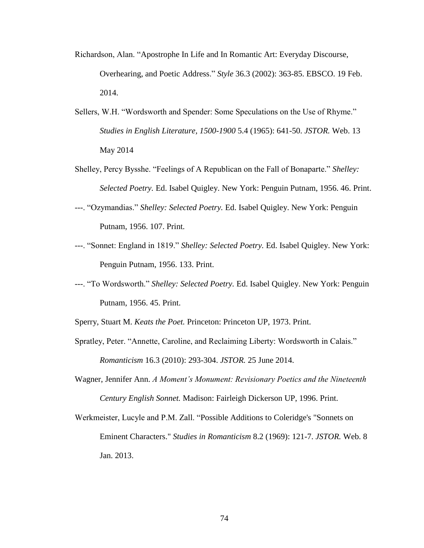- Richardson, Alan. "Apostrophe In Life and In Romantic Art: Everyday Discourse, Overhearing, and Poetic Address." *Style* 36.3 (2002): 363-85. EBSCO. 19 Feb. 2014.
- Sellers, W.H. "Wordsworth and Spender: Some Speculations on the Use of Rhyme." *Studies in English Literature, 1500-1900* 5.4 (1965): 641-50. *JSTOR.* Web. 13 May 2014
- Shelley, Percy Bysshe. "Feelings of A Republican on the Fall of Bonaparte." *Shelley: Selected Poetry.* Ed. Isabel Quigley. New York: Penguin Putnam, 1956. 46. Print.
- ---. "Ozymandias." *Shelley: Selected Poetry.* Ed. Isabel Quigley. New York: Penguin Putnam, 1956. 107. Print.
- ---. "Sonnet: England in 1819." *Shelley: Selected Poetry.* Ed. Isabel Quigley. New York: Penguin Putnam, 1956. 133. Print.
- ---. "To Wordsworth." *Shelley: Selected Poetry.* Ed. Isabel Quigley. New York: Penguin Putnam, 1956. 45. Print.
- Sperry, Stuart M. *Keats the Poet.* Princeton: Princeton UP, 1973. Print.
- Spratley, Peter. "Annette, Caroline, and Reclaiming Liberty: Wordsworth in Calais." *Romanticism* 16.3 (2010): 293-304. *JSTOR.* 25 June 2014.
- Wagner, Jennifer Ann. *A Moment's Monument: Revisionary Poetics and the Nineteenth Century English Sonnet.* Madison: Fairleigh Dickerson UP, 1996. Print.
- Werkmeister, Lucyle and P.M. Zall. "Possible Additions to Coleridge's "Sonnets on Eminent Characters." *Studies in Romanticism* 8.2 (1969): 121-7. *JSTOR.* Web. 8 Jan. 2013.